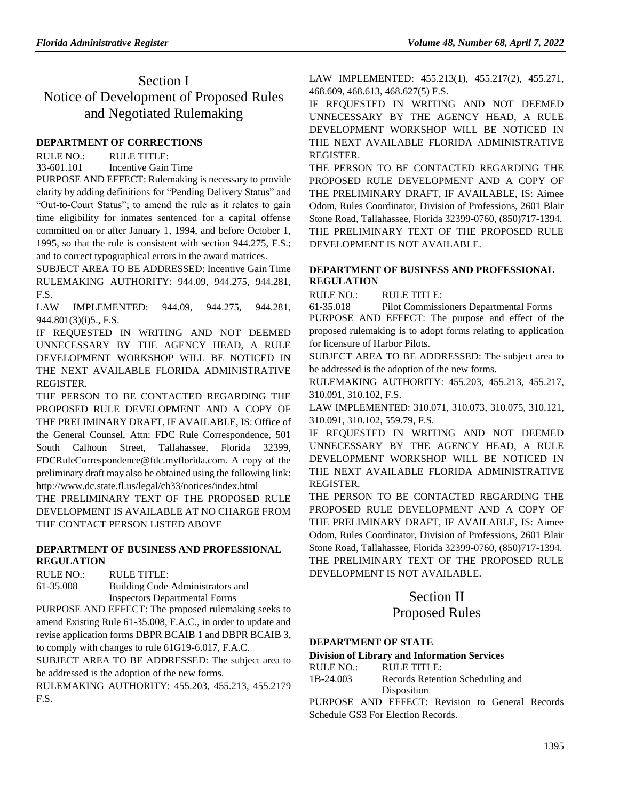# Section I Notice of Development of Proposed Rules and Negotiated Rulemaking

## **[DEPARTMENT OF CORRECTIONS](https://www.flrules.org/gateway/department.asp?id=33)**

RULE NO.: RULE TITLE:

[33-601.101](https://www.flrules.org/gateway/ruleNo.asp?id=33-602.201) Incentive Gain Time

PURPOSE AND EFFECT: Rulemaking is necessary to provide clarity by adding definitions for "Pending Delivery Status" and "Out-to-Court Status"; to amend the rule as it relates to gain time eligibility for inmates sentenced for a capital offense committed on or after January 1, 1994, and before October 1, 1995, so that the rule is consistent with section 944.275, F.S.; and to correct typographical errors in the award matrices.

SUBJECT AREA TO BE ADDRESSED: Incentive Gain Time RULEMAKING AUTHORITY: 944.09, 944.275, 944.281, F.S.

LAW IMPLEMENTED: 944.09, 944.275, 944.281, 944.801(3)(i)5., F.S.

IF REQUESTED IN WRITING AND NOT DEEMED UNNECESSARY BY THE AGENCY HEAD, A RULE DEVELOPMENT WORKSHOP WILL BE NOTICED IN THE NEXT AVAILABLE FLORIDA ADMINISTRATIVE REGISTER.

THE PERSON TO BE CONTACTED REGARDING THE PROPOSED RULE DEVELOPMENT AND A COPY OF THE PRELIMINARY DRAFT, IF AVAILABLE, IS: Office of the General Counsel, Attn: FDC Rule Correspondence, 501 South Calhoun Street, Tallahassee, Florida 32399, FDCRuleCorrespondence@fdc.myflorida.com. A copy of the preliminary draft may also be obtained using the following link: http://www.dc.state.fl.us/legal/ch33/notices/index.html

THE PRELIMINARY TEXT OF THE PROPOSED RULE DEVELOPMENT IS AVAILABLE AT NO CHARGE FROM THE CONTACT PERSON LISTED ABOVE

## **[DEPARTMENT OF BUSINESS AND PROFESSIONAL](https://www.flrules.org/gateway/department.asp?id=61)  [REGULATION](https://www.flrules.org/gateway/department.asp?id=61)**

RULE NO.: RULE TITLE: [61-35.008](https://www.flrules.org/gateway/ruleNo.asp?id=61-35.008) Building Code Administrators and Inspectors Departmental Forms

PURPOSE AND EFFECT: The proposed rulemaking seeks to amend Existing Rule 61-35.008, F.A.C., in order to update and revise application forms DBPR BCAIB 1 and DBPR BCAIB 3, to comply with changes to rule 61G19-6.017, F.A.C.

SUBJECT AREA TO BE ADDRESSED: The subject area to be addressed is the adoption of the new forms.

RULEMAKING AUTHORITY: [455.203, 455.213, 455.2179](https://www.flrules.org/gateway/cfr.asp?id=455.203,%20455.213,%20455.2179%20FS)  [F.S.](https://www.flrules.org/gateway/cfr.asp?id=455.203,%20455.213,%20455.2179%20FS)

LAW IMPLEMENTED: [455.213\(1\), 455.217\(2\), 455.271,](https://www.flrules.org/gateway/cfr.asp?id=455.213(1),%20455.217(2),%20455.271,%20468.609,%20468.613,%20468.627(5)%20FS)  [468.609, 468.613, 468.627\(5\) F.S.](https://www.flrules.org/gateway/cfr.asp?id=455.213(1),%20455.217(2),%20455.271,%20468.609,%20468.613,%20468.627(5)%20FS)

IF REQUESTED IN WRITING AND NOT DEEMED UNNECESSARY BY THE AGENCY HEAD, A RULE DEVELOPMENT WORKSHOP WILL BE NOTICED IN THE NEXT AVAILABLE FLORIDA ADMINISTRATIVE REGISTER.

THE PERSON TO BE CONTACTED REGARDING THE PROPOSED RULE DEVELOPMENT AND A COPY OF THE PRELIMINARY DRAFT, IF AVAILABLE, IS: Aimee Odom, Rules Coordinator, Division of Professions, 2601 Blair Stone Road, Tallahassee, Florida 32399-0760, (850)717-1394. THE PRELIMINARY TEXT OF THE PROPOSED RULE DEVELOPMENT IS NOT AVAILABLE.

## **[DEPARTMENT OF BUSINESS AND PROFESSIONAL](https://www.flrules.org/gateway/department.asp?id=61)  [REGULATION](https://www.flrules.org/gateway/department.asp?id=61)**

RULE NO.: RULE TITLE:

[61-35.018](https://www.flrules.org/gateway/ruleNo.asp?id=61-35.018) Pilot Commissioners Departmental Forms PURPOSE AND EFFECT: The purpose and effect of the proposed rulemaking is to adopt forms relating to application for licensure of Harbor Pilots.

SUBJECT AREA TO BE ADDRESSED: The subject area to be addressed is the adoption of the new forms.

RULEMAKING AUTHORITY: [455.203,](https://www.flrules.org/gateway/statute.asp?id=455.203) [455.213,](https://www.flrules.org/gateway/statute.asp?id=%20455.213) [455.217,](https://www.flrules.org/gateway/statute.asp?id=%20455.217) [310.091,](https://www.flrules.org/gateway/statute.asp?id=%20310.091) [310.102,](https://www.flrules.org/gateway/statute.asp?id=%20310.102) F.S.

LAW IMPLEMENTED: [310.071,](https://www.flrules.org/gateway/statute.asp?id=310.071) [310.073,](https://www.flrules.org/gateway/statute.asp?id=%20310.073) [310.075,](https://www.flrules.org/gateway/statute.asp?id=%20310.075) [310.121,](https://www.flrules.org/gateway/statute.asp?id=%20310.121) [310.091,](https://www.flrules.org/gateway/statute.asp?id=%20310.091) [310.102,](https://www.flrules.org/gateway/statute.asp?id=%20310.102) [559.79,](https://www.flrules.org/gateway/statute.asp?id=%20559.79) F.S.

IF REQUESTED IN WRITING AND NOT DEEMED UNNECESSARY BY THE AGENCY HEAD, A RULE DEVELOPMENT WORKSHOP WILL BE NOTICED IN THE NEXT AVAILABLE FLORIDA ADMINISTRATIVE REGISTER.

THE PERSON TO BE CONTACTED REGARDING THE PROPOSED RULE DEVELOPMENT AND A COPY OF THE PRELIMINARY DRAFT, IF AVAILABLE, IS: Aimee Odom, Rules Coordinator, Division of Professions, 2601 Blair Stone Road, Tallahassee, Florida 32399-0760, (850)717-1394. THE PRELIMINARY TEXT OF THE PROPOSED RULE DEVELOPMENT IS NOT AVAILABLE.

# Section II Proposed Rules

## **[DEPARTMENT OF STATE](https://www.flrules.org/gateway/department.asp?id=1)**

### **[Division of Library and Information Services](https://www.flrules.org/gateway/organization.asp?id=2)**

RULE NO.: RULE TITLE:

| 1B-24.003 | Records Retention Scheduling and |
|-----------|----------------------------------|
|           | Disposition                      |

PURPOSE AND EFFECT: Revision to General Records Schedule GS3 For Election Records.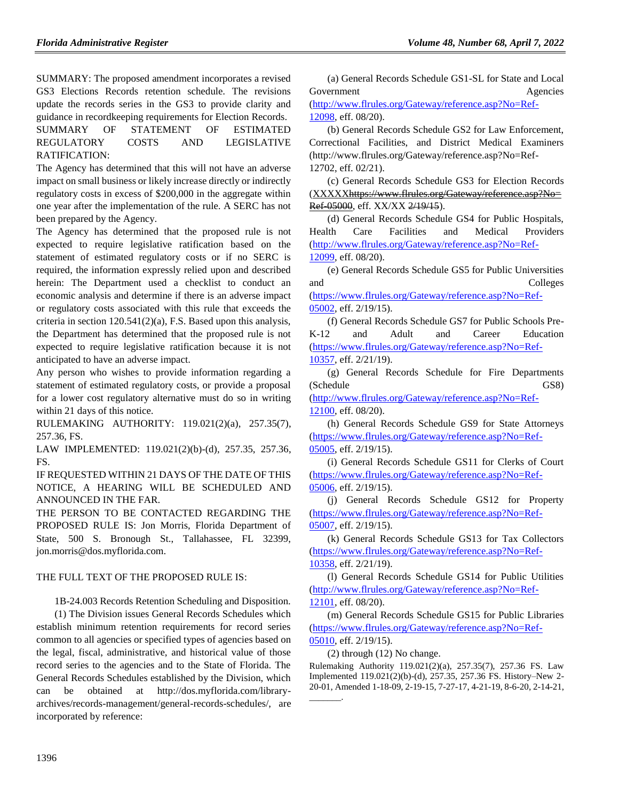SUMMARY: The proposed amendment incorporates a revised GS3 Elections Records retention schedule. The revisions update the records series in the GS3 to provide clarity and guidance in recordkeeping requirements for Election Records. SUMMARY OF STATEMENT OF ESTIMATED

REGULATORY COSTS AND LEGISLATIVE RATIFICATION:

The Agency has determined that this will not have an adverse impact on small business or likely increase directly or indirectly regulatory costs in excess of \$200,000 in the aggregate within one year after the implementation of the rule. A SERC has not been prepared by the Agency.

The Agency has determined that the proposed rule is not expected to require legislative ratification based on the statement of estimated regulatory costs or if no SERC is required, the information expressly relied upon and described herein: The Department used a checklist to conduct an economic analysis and determine if there is an adverse impact or regulatory costs associated with this rule that exceeds the criteria in section 120.541(2)(a), F.S. Based upon this analysis, the Department has determined that the proposed rule is not expected to require legislative ratification because it is not anticipated to have an adverse impact.

Any person who wishes to provide information regarding a statement of estimated regulatory costs, or provide a proposal for a lower cost regulatory alternative must do so in writing within 21 days of this notice.

RULEMAKING AUTHORITY: [119.021\(2\)\(a\),](https://www.flrules.org/gateway/statute.asp?id=119.021(2)(a)) [257.35\(7\),](https://www.flrules.org/gateway/statute.asp?id=%20257.35(7)) [257.36,](https://www.flrules.org/gateway/statute.asp?id=%20257.36) FS.

LAW IMPLEMENTED: [119.021\(2\)\(b\)-\(d\),](https://www.flrules.org/gateway/statute.asp?id=119.021(2)(b)-(d)) [257.35,](https://www.flrules.org/gateway/statute.asp?id=%20257.35) [257.36,](https://www.flrules.org/gateway/statute.asp?id=%20257.36) FS.

IF REQUESTED WITHIN 21 DAYS OF THE DATE OF THIS NOTICE, A HEARING WILL BE SCHEDULED AND ANNOUNCED IN THE FAR.

THE PERSON TO BE CONTACTED REGARDING THE PROPOSED RULE IS: Jon Morris, Florida Department of State, 500 S. Bronough St., Tallahassee, FL 32399, jon.morris@dos.myflorida.com.

### THE FULL TEXT OF THE PROPOSED RULE IS:

1B-24.003 Records Retention Scheduling and Disposition.

(1) The Division issues General Records Schedules which establish minimum retention requirements for record series common to all agencies or specified types of agencies based on the legal, fiscal, administrative, and historical value of those record series to the agencies and to the State of Florida. The General Records Schedules established by the Division, which can be obtained at http://dos.myflorida.com/libraryarchives/records-management/general-records-schedules/, are incorporated by reference:

(a) General Records Schedule GS1-SL for State and Local Government Agencies

[\(http://www.flrules.org/Gateway/reference.asp?No=Ref-](http://www.flrules.org/Gateway/reference.asp?No=Ref-12098)[12098,](http://www.flrules.org/Gateway/reference.asp?No=Ref-12098) eff. 08/20).

(b) General Records Schedule GS2 for Law Enforcement, Correctional Facilities, and District Medical Examiners (http://www.flrules.org/Gateway/reference.asp?No=Ref-12702, eff. 02/21).

(c) General Records Schedule GS3 for Election Records (XXXXXhttps://www.flrules.org/Gateway/reference.asp?No= Ref-05000, eff. XX/XX 2/19/15).

(d) General Records Schedule GS4 for Public Hospitals, Health Care Facilities and Medical Providers [\(http://www.flrules.org/Gateway/reference.asp?No=Ref-](http://www.flrules.org/Gateway/reference.asp?No=Ref-12099)[12099,](http://www.flrules.org/Gateway/reference.asp?No=Ref-12099) eff. 08/20).

(e) General Records Schedule GS5 for Public Universities and Colleges [\(https://www.flrules.org/Gateway/reference.asp?No=Ref-](https://www.flrules.org/Gateway/reference.asp?No=Ref-05002)

[05002,](https://www.flrules.org/Gateway/reference.asp?No=Ref-05002) eff. 2/19/15).

(f) General Records Schedule GS7 for Public Schools Pre-K-12 and Adult and Career Education [\(https://www.flrules.org/Gateway/reference.asp?No=Ref-](https://www.flrules.org/Gateway/reference.asp?No=Ref-10357)[10357,](https://www.flrules.org/Gateway/reference.asp?No=Ref-10357) eff. 2/21/19).

(g) General Records Schedule for Fire Departments (Schedule GS8)

[\(http://www.flrules.org/Gateway/reference.asp?No=Ref-](http://www.flrules.org/Gateway/reference.asp?No=Ref-12100)[12100,](http://www.flrules.org/Gateway/reference.asp?No=Ref-12100) eff. 08/20).

(h) General Records Schedule GS9 for State Attorneys [\(https://www.flrules.org/Gateway/reference.asp?No=Ref-](https://www.flrules.org/Gateway/reference.asp?No=Ref-05005)[05005,](https://www.flrules.org/Gateway/reference.asp?No=Ref-05005) eff. 2/19/15).

(i) General Records Schedule GS11 for Clerks of Court [\(https://www.flrules.org/Gateway/reference.asp?No=Ref-](https://www.flrules.org/Gateway/reference.asp?No=Ref-05006)[05006,](https://www.flrules.org/Gateway/reference.asp?No=Ref-05006) eff. 2/19/15).

(j) General Records Schedule GS12 for Property [\(https://www.flrules.org/Gateway/reference.asp?No=Ref-](https://www.flrules.org/Gateway/reference.asp?No=Ref-05007)[05007,](https://www.flrules.org/Gateway/reference.asp?No=Ref-05007) eff. 2/19/15).

(k) General Records Schedule GS13 for Tax Collectors [\(https://www.flrules.org/Gateway/reference.asp?No=Ref-](https://www.flrules.org/Gateway/reference.asp?No=Ref-10358)[10358,](https://www.flrules.org/Gateway/reference.asp?No=Ref-10358) eff. 2/21/19).

(l) General Records Schedule GS14 for Public Utilities [\(http://www.flrules.org/Gateway/reference.asp?No=Ref-](http://www.flrules.org/Gateway/reference.asp?No=Ref-12101)[12101,](http://www.flrules.org/Gateway/reference.asp?No=Ref-12101) eff. 08/20).

(m) General Records Schedule GS15 for Public Libraries [\(https://www.flrules.org/Gateway/reference.asp?No=Ref-](https://www.flrules.org/Gateway/reference.asp?No=Ref-05010)[05010,](https://www.flrules.org/Gateway/reference.asp?No=Ref-05010) eff. 2/19/15).

(2) through (12) No change.

\_\_\_\_\_\_\_.

Rulemaking Authority 119.021(2)(a), 257.35(7), 257.36 FS. Law Implemented 119.021(2)(b)-(d), 257.35, 257.36 FS. History–New 2- 20-01, Amended 1-18-09, 2-19-15, 7-27-17, 4-21-19, 8-6-20, 2-14-21,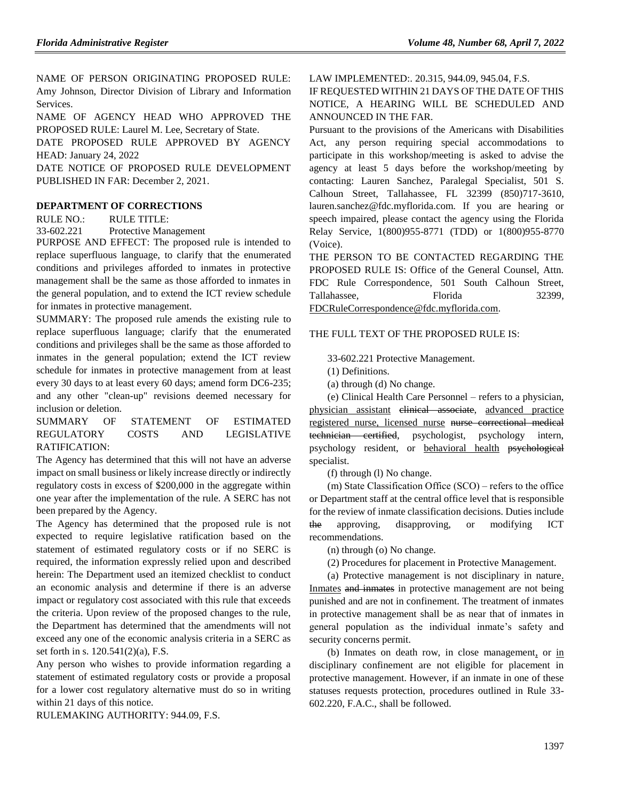NAME OF PERSON ORIGINATING PROPOSED RULE: Amy Johnson, Director Division of Library and Information Services.

NAME OF AGENCY HEAD WHO APPROVED THE PROPOSED RULE: Laurel M. Lee, Secretary of State.

DATE PROPOSED RULE APPROVED BY AGENCY HEAD: January 24, 2022

DATE NOTICE OF PROPOSED RULE DEVELOPMENT PUBLISHED IN FAR: December 2, 2021.

#### **[DEPARTMENT OF CORRECTIONS](https://www.flrules.org/gateway/department.asp?id=33)**

RULE NO.: RULE TITLE:

33-602.221 Protective Management

PURPOSE AND EFFECT: The proposed rule is intended to replace superfluous language, to clarify that the enumerated conditions and privileges afforded to inmates in protective management shall be the same as those afforded to inmates in the general population, and to extend the ICT review schedule for inmates in protective management.

SUMMARY: The proposed rule amends the existing rule to replace superfluous language; clarify that the enumerated conditions and privileges shall be the same as those afforded to inmates in the general population; extend the ICT review schedule for inmates in protective management from at least every 30 days to at least every 60 days; amend form DC6-235; and any other "clean-up" revisions deemed necessary for inclusion or deletion.

## SUMMARY OF STATEMENT OF ESTIMATED REGULATORY COSTS AND LEGISLATIVE RATIFICATION:

The Agency has determined that this will not have an adverse impact on small business or likely increase directly or indirectly regulatory costs in excess of \$200,000 in the aggregate within one year after the implementation of the rule. A SERC has not been prepared by the Agency.

The Agency has determined that the proposed rule is not expected to require legislative ratification based on the statement of estimated regulatory costs or if no SERC is required, the information expressly relied upon and described herein: The Department used an itemized checklist to conduct an economic analysis and determine if there is an adverse impact or regulatory cost associated with this rule that exceeds the criteria. Upon review of the proposed changes to the rule, the Department has determined that the amendments will not exceed any one of the economic analysis criteria in a SERC as set forth in s. 120.541(2)(a), F.S.

Any person who wishes to provide information regarding a statement of estimated regulatory costs or provide a proposal for a lower cost regulatory alternative must do so in writing within 21 days of this notice.

RULEMAKING AUTHORITY: 944.09, F.S.

LAW IMPLEMENTED:. 20.315, 944.09, 945.04, F.S. IF REQUESTED WITHIN 21 DAYS OF THE DATE OF THIS NOTICE, A HEARING WILL BE SCHEDULED AND ANNOUNCED IN THE FAR.

Pursuant to the provisions of the Americans with Disabilities Act, any person requiring special accommodations to participate in this workshop/meeting is asked to advise the agency at least 5 days before the workshop/meeting by contacting: Lauren Sanchez, Paralegal Specialist, 501 S. Calhoun Street, Tallahassee, FL 32399 (850)717-3610, lauren.sanchez@fdc.myflorida.com. If you are hearing or speech impaired, please contact the agency using the Florida Relay Service, 1(800)955-8771 (TDD) or 1(800)955-8770 (Voice).

THE PERSON TO BE CONTACTED REGARDING THE PROPOSED RULE IS: Office of the General Counsel, Attn. FDC Rule Correspondence, 501 South Calhoun Street, Tallahassee, Florida 32399, [FDCRuleCorrespondence@fdc.myflorida.com.](mailto:FDCRuleCorrespondence@fdc.myflorida.com)

## THE FULL TEXT OF THE PROPOSED RULE IS:

33-602.221 Protective Management.

(1) Definitions.

(a) through (d) No change.

(e) Clinical Health Care Personnel – refers to a physician, physician assistant elinical associate, advanced practice registered nurse, licensed nurse nurse correctional medical technician certified, psychologist, psychology intern, psychology resident, or behavioral health psychological specialist.

(f) through (l) No change.

 $(m)$  State Classification Office  $(SCO)$  – refers to the office or Department staff at the central office level that is responsible for the review of inmate classification decisions. Duties include the approving, disapproving, or modifying ICT recommendations.

(n) through (o) No change.

(2) Procedures for placement in Protective Management.

(a) Protective management is not disciplinary in nature. Inmates and inmates in protective management are not being punished and are not in confinement. The treatment of inmates in protective management shall be as near that of inmates in general population as the individual inmate's safety and security concerns permit.

(b) Inmates on death row, in close management, or in disciplinary confinement are not eligible for placement in protective management. However, if an inmate in one of these statuses requests protection, procedures outlined in Rule 33- 602.220, F.A.C., shall be followed.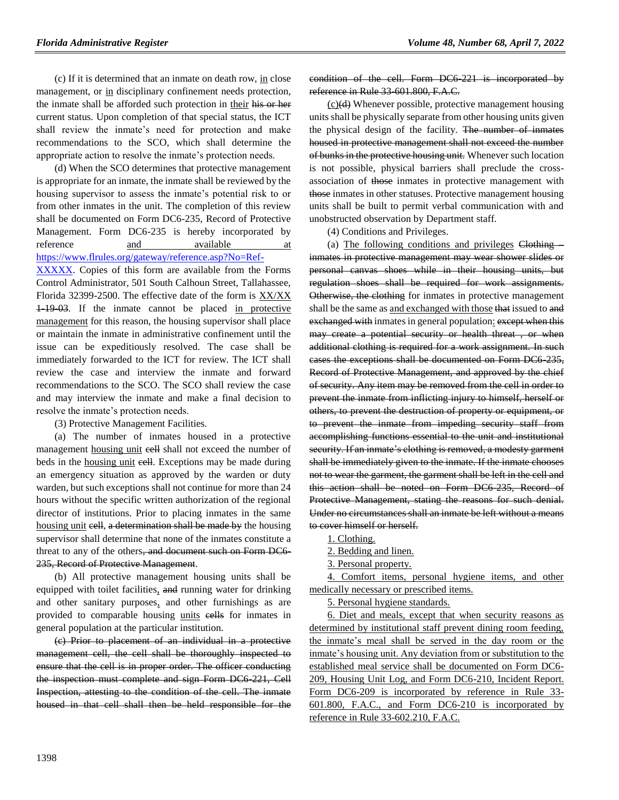(c) If it is determined that an inmate on death row, in close management, or in disciplinary confinement needs protection, the inmate shall be afforded such protection in their his or her current status. Upon completion of that special status, the ICT shall review the inmate's need for protection and make recommendations to the SCO, which shall determine the appropriate action to resolve the inmate's protection needs.

(d) When the SCO determines that protective management is appropriate for an inmate, the inmate shall be reviewed by the housing supervisor to assess the inmate's potential risk to or from other inmates in the unit. The completion of this review shall be documented on Form DC6-235, Record of Protective Management. Form DC6-235 is hereby incorporated by reference and available at [https://www.flrules.org/gateway/reference.asp?No=Ref-](https://www.flrules.org/gateway/reference.asp?No=Ref-XXXXX)

[XXXXX.](https://www.flrules.org/gateway/reference.asp?No=Ref-XXXXX) Copies of this form are available from the Forms Control Administrator, 501 South Calhoun Street, Tallahassee, Florida 32399-2500. The effective date of the form is XX/XX 1-19-03. If the inmate cannot be placed in protective management for this reason, the housing supervisor shall place or maintain the inmate in administrative confinement until the issue can be expeditiously resolved. The case shall be immediately forwarded to the ICT for review. The ICT shall review the case and interview the inmate and forward recommendations to the SCO. The SCO shall review the case and may interview the inmate and make a final decision to resolve the inmate's protection needs.

(3) Protective Management Facilities.

(a) The number of inmates housed in a protective management housing unit eell shall not exceed the number of beds in the housing unit eell. Exceptions may be made during an emergency situation as approved by the warden or duty warden, but such exceptions shall not continue for more than 24 hours without the specific written authorization of the regional director of institutions. Prior to placing inmates in the same housing unit cell, a determination shall be made by the housing supervisor shall determine that none of the inmates constitute a threat to any of the others, and document such on Form DC6- 235, Record of Protective Management.

(b) All protective management housing units shall be equipped with toilet facilities, and running water for drinking and other sanitary purposes, and other furnishings as are provided to comparable housing units cells for inmates in general population at the particular institution.

(c) Prior to placement of an individual in a protective management cell, the cell shall be thoroughly inspected to ensure that the cell is in proper order. The officer conducting the inspection must complete and sign Form DC6-221, Cell Inspection, attesting to the condition of the cell. The inmate housed in that cell shall then be held responsible for the condition of the cell. Form DC6-221 is incorporated by reference in Rule 33-601.800, F.A.C.

(c)(d) Whenever possible, protective management housing units shall be physically separate from other housing units given the physical design of the facility. The number of inmates housed in protective management shall not exceed the number of bunks in the protective housing unit. Whenever such location is not possible, physical barriers shall preclude the crossassociation of those inmates in protective management with those inmates in other statuses. Protective management housing units shall be built to permit verbal communication with and unobstructed observation by Department staff.

(4) Conditions and Privileges.

(a) The following conditions and privileges Clothing inmates in protective management may wear shower slides or personal canvas shoes while in their housing units, but regulation shoes shall be required for work assignments. Otherwise, the clothing for inmates in protective management shall be the same as and exchanged with those that issued to and exchanged with inmates in general population: except when this may create a potential security or health threat , or when additional clothing is required for a work assignment. In such cases the exceptions shall be documented on Form DC6-235, Record of Protective Management, and approved by the chief of security. Any item may be removed from the cell in order to prevent the inmate from inflicting injury to himself, herself or others, to prevent the destruction of property or equipment, or to prevent the inmate from impeding security staff from accomplishing functions essential to the unit and institutional security. If an inmate's clothing is removed, a modesty garment shall be immediately given to the inmate. If the inmate chooses not to wear the garment, the garment shall be left in the cell and this action shall be noted on Form DC6-235, Record of Protective Management, stating the reasons for such denial. Under no circumstances shall an inmate be left without a means to cover himself or herself.

1. Clothing.

2. Bedding and linen.

3. Personal property.

4. Comfort items, personal hygiene items, and other medically necessary or prescribed items.

5. Personal hygiene standards.

6. Diet and meals, except that when security reasons as determined by institutional staff prevent dining room feeding, the inmate's meal shall be served in the day room or the inmate's housing unit. Any deviation from or substitution to the established meal service shall be documented on Form DC6- 209, Housing Unit Log, and Form DC6-210, Incident Report. Form DC6-209 is incorporated by reference in Rule 33- 601.800, F.A.C., and Form DC6-210 is incorporated by reference in Rule 33-602.210, F.A.C.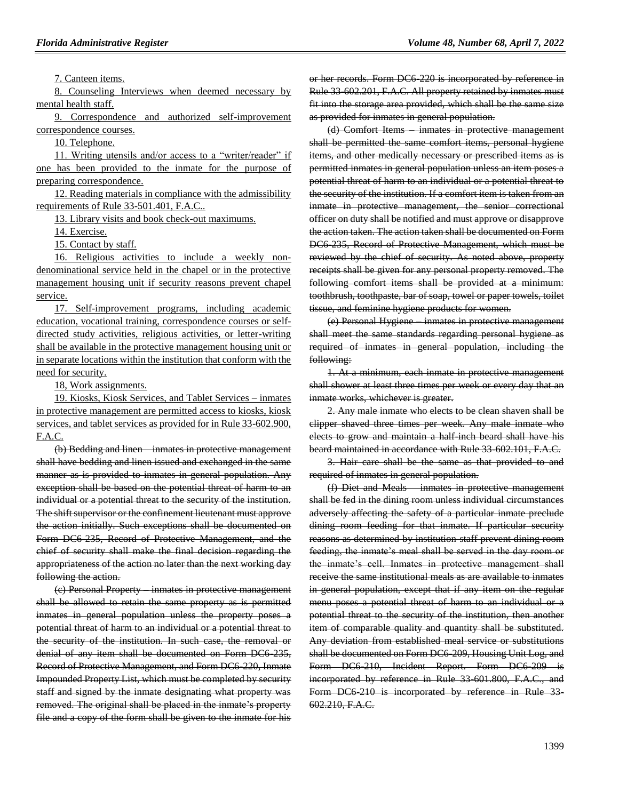7. Canteen items.

8. Counseling Interviews when deemed necessary by mental health staff.

9. Correspondence and authorized self-improvement correspondence courses.

10. Telephone.

11. Writing utensils and/or access to a "writer/reader" if one has been provided to the inmate for the purpose of preparing correspondence.

12. Reading materials in compliance with the admissibility requirements of Rule 33-501.401, F.A.C..

13. Library visits and book check-out maximums.

14. Exercise.

15. Contact by staff.

16. Religious activities to include a weekly nondenominational service held in the chapel or in the protective management housing unit if security reasons prevent chapel service.

17. Self-improvement programs, including academic education, vocational training, correspondence courses or selfdirected study activities, religious activities, or letter-writing shall be available in the protective management housing unit or in separate locations within the institution that conform with the need for security.

18, Work assignments.

19. Kiosks, Kiosk Services, and Tablet Services – inmates in protective management are permitted access to kiosks, kiosk services, and tablet services as provided for in Rule 33-602.900, F.A.C.

(b) Bedding and linen – inmates in protective management shall have bedding and linen issued and exchanged in the same manner as is provided to inmates in general population. Any exception shall be based on the potential threat of harm to an individual or a potential threat to the security of the institution. The shift supervisor or the confinement lieutenant must approve the action initially. Such exceptions shall be documented on Form DC6-235, Record of Protective Management, and the chief of security shall make the final decision regarding the appropriateness of the action no later than the next working day following the action.

(c) Personal Property – inmates in protective management shall be allowed to retain the same property as is permitted inmates in general population unless the property poses a potential threat of harm to an individual or a potential threat to the security of the institution. In such case, the removal or denial of any item shall be documented on Form DC6-235, Record of Protective Management, and Form DC6-220, Inmate Impounded Property List, which must be completed by security staff and signed by the inmate designating what property was removed. The original shall be placed in the inmate's property file and a copy of the form shall be given to the inmate for his or her records. Form DC6-220 is incorporated by reference in Rule 33-602.201, F.A.C. All property retained by inmates must fit into the storage area provided, which shall be the same size as provided for inmates in general population.

(d) Comfort Items – inmates in protective management shall be permitted the same comfort items, personal hygiene items, and other medically necessary or prescribed items as is permitted inmates in general population unless an item poses a potential threat of harm to an individual or a potential threat to the security of the institution. If a comfort item is taken from an inmate in protective management, the senior correctional officer on duty shall be notified and must approve or disapprove the action taken. The action taken shall be documented on Form DC6-235, Record of Protective Management, which must be reviewed by the chief of security. As noted above, property receipts shall be given for any personal property removed. The following comfort items shall be provided at a minimum: toothbrush, toothpaste, bar of soap, towel or paper towels, toilet tissue, and feminine hygiene products for women.

(e) Personal Hygiene – inmates in protective management shall meet the same standards regarding personal hygiene as required of inmates in general population, including the following:

1. At a minimum, each inmate in protective management shall shower at least three times per week or every day that an inmate works, whichever is greater.

2. Any male inmate who elects to be clean shaven shall be clipper shaved three times per week. Any male inmate who elects to grow and maintain a half inch beard shall have his beard maintained in accordance with Rule 33-602.101, F.A.C.

3. Hair care shall be the same as that provided to and required of inmates in general population.

(f) Diet and Meals – inmates in protective management shall be fed in the dining room unless individual circumstances adversely affecting the safety of a particular inmate preclude dining room feeding for that inmate. If particular security reasons as determined by institution staff prevent dining room feeding, the inmate's meal shall be served in the day room or the inmate's cell. Inmates in protective management shall receive the same institutional meals as are available to inmates in general population, except that if any item on the regular menu poses a potential threat of harm to an individual or a potential threat to the security of the institution, then another item of comparable quality and quantity shall be substituted. Any deviation from established meal service or substitutions shall be documented on Form DC6-209, Housing Unit Log, and Form DC6-210, Incident Report. Form DC6-209 is incorporated by reference in Rule 33-601.800, F.A.C., and Form DC6-210 is incorporated by reference in Rule 33-602.210, F.A.C.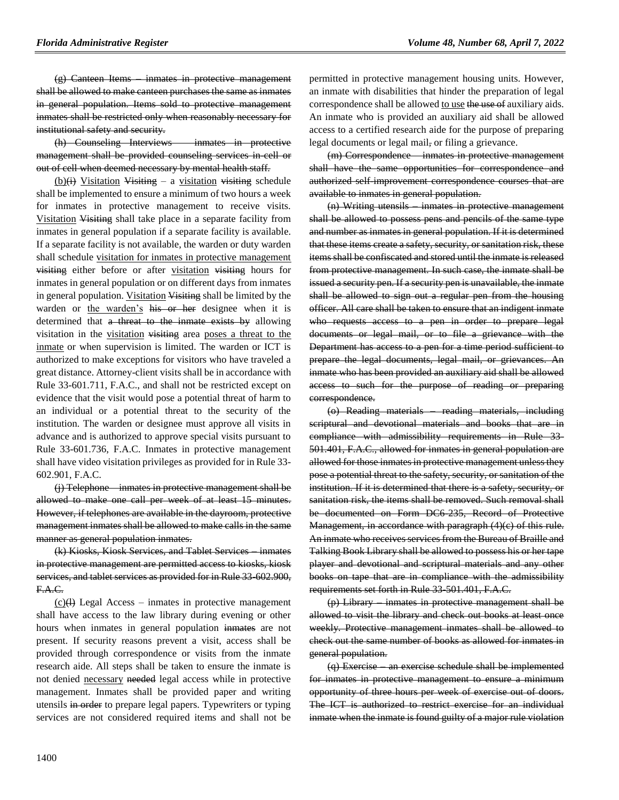(g) Canteen Items – inmates in protective management shall be allowed to make canteen purchases the same as inmates in general population. Items sold to protective management inmates shall be restricted only when reasonably necessary for institutional safety and security.

(h) Counseling Interviews – inmates in protective management shall be provided counseling services in cell or out of cell when deemed necessary by mental health staff.

(b) $(i)$  Visitation Visiting – a visitation visiting schedule shall be implemented to ensure a minimum of two hours a week for inmates in protective management to receive visits. Visitation Visiting shall take place in a separate facility from inmates in general population if a separate facility is available. If a separate facility is not available, the warden or duty warden shall schedule visitation for inmates in protective management visiting either before or after visitation visiting hours for inmates in general population or on different days from inmates in general population. Visitation Visiting shall be limited by the warden or the warden's his or her designee when it is determined that a threat to the inmate exists by allowing visitation in the visitation visiting area poses a threat to the inmate or when supervision is limited. The warden or ICT is authorized to make exceptions for visitors who have traveled a great distance. Attorney-client visits shall be in accordance with Rule 33-601.711, F.A.C., and shall not be restricted except on evidence that the visit would pose a potential threat of harm to an individual or a potential threat to the security of the institution. The warden or designee must approve all visits in advance and is authorized to approve special visits pursuant to Rule 33-601.736, F.A.C. Inmates in protective management shall have video visitation privileges as provided for in Rule 33- 602.901, F.A.C.

(j) Telephone – inmates in protective management shall be allowed to make one call per week of at least 15 minutes. However, if telephones are available in the dayroom, protective management inmates shall be allowed to make calls in the same manner as general population inmates.

(k) Kiosks, Kiosk Services, and Tablet Services – inmates in protective management are permitted access to kiosks, kiosk services, and tablet services as provided for in Rule 33 602.900, F.A.C.

 $(c)(4)$  Legal Access – inmates in protective management shall have access to the law library during evening or other hours when inmates in general population inmates are not present. If security reasons prevent a visit, access shall be provided through correspondence or visits from the inmate research aide. All steps shall be taken to ensure the inmate is not denied necessary needed legal access while in protective management. Inmates shall be provided paper and writing utensils in order to prepare legal papers. Typewriters or typing services are not considered required items and shall not be

permitted in protective management housing units. However, an inmate with disabilities that hinder the preparation of legal correspondence shall be allowed to use the use of auxiliary aids. An inmate who is provided an auxiliary aid shall be allowed access to a certified research aide for the purpose of preparing legal documents or legal mail, or filing a grievance.

(m) Correspondence – inmates in protective management shall have the same opportunities for correspondence and authorized self-improvement correspondence courses that are available to inmates in general population.

(n) Writing utensils – inmates in protective management shall be allowed to possess pens and pencils of the same type and number as inmates in general population. If it is determined that these items create a safety, security, or sanitation risk, these items shall be confiscated and stored until the inmate is released from protective management. In such case, the inmate shall be issued a security pen. If a security pen is unavailable, the inmate shall be allowed to sign out a regular pen from the housing officer. All care shall be taken to ensure that an indigent inmate who requests access to a pen in order to prepare legal documents or legal mail, or to file a grievance with the Department has access to a pen for a time period sufficient to prepare the legal documents, legal mail, or grievances. An inmate who has been provided an auxiliary aid shall be allowed access to such for the purpose of reading or preparing correspondence.

(o) Reading materials – reading materials, including scriptural and devotional materials and books that are in compliance with admissibility requirements in Rule 33- 501.401, F.A.C., allowed for inmates in general population are allowed for those inmates in protective management unless they pose a potential threat to the safety, security, or sanitation of the institution. If it is determined that there is a safety, security, or sanitation risk, the items shall be removed. Such removal shall be documented on Form DC6-235, Record of Protective Management, in accordance with paragraph (4)(c) of this rule. An inmate who receives services from the Bureau of Braille and Talking Book Library shall be allowed to possess his or her tape player and devotional and scriptural materials and any other books on tape that are in compliance with the admissibility requirements set forth in Rule 33-501.401, F.A.C.

(p) Library – inmates in protective management shall be allowed to visit the library and check out books at least once weekly. Protective management inmates shall be allowed to check out the same number of books as allowed for inmates in general population.

(q) Exercise – an exercise schedule shall be implemented for inmates in protective management to ensure a minimum opportunity of three hours per week of exercise out of doors. The ICT is authorized to restrict exercise for an individual inmate when the inmate is found guilty of a major rule violation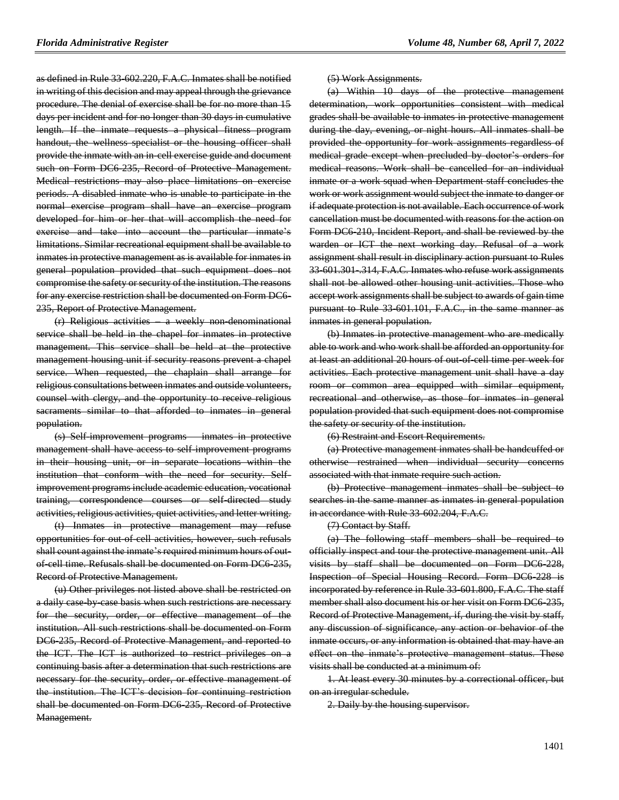as defined in Rule 33-602.220, F.A.C. Inmates shall be notified in writing of this decision and may appeal through the grievance procedure. The denial of exercise shall be for no more than 15 days per incident and for no longer than 30 days in cumulative length. If the inmate requests a physical fitness program handout, the wellness specialist or the housing officer shall provide the inmate with an in-cell exercise guide and document such on Form DC6-235, Record of Protective Management. Medical restrictions may also place limitations on exercise periods. A disabled inmate who is unable to participate in the normal exercise program shall have an exercise program developed for him or her that will accomplish the need for exercise and take into account the particular inmate's limitations. Similar recreational equipment shall be available to inmates in protective management as is available for inmates in general population provided that such equipment does not compromise the safety or security of the institution. The reasons for any exercise restriction shall be documented on Form DC6- 235, Report of Protective Management.

(r) Religious activities – a weekly non-denominational service shall be held in the chapel for inmates in protective management. This service shall be held at the protective management housing unit if security reasons prevent a chapel service. When requested, the chaplain shall arrange for religious consultations between inmates and outside volunteers, counsel with clergy, and the opportunity to receive religious sacraments similar to that afforded to inmates in general population.

(s) Self-improvement programs – inmates in protective management shall have access to self improvement programs in their housing unit, or in separate locations within the institution that conform with the need for security. Selfimprovement programs include academic education, vocational training, correspondence courses or self-directed study activities, religious activities, quiet activities, and letter writing.

(t) Inmates in protective management may refuse opportunities for out-of-cell activities, however, such refusals shall count against the inmate's required minimum hours of outof-cell time. Refusals shall be documented on Form DC6-235, Record of Protective Management.

(u) Other privileges not listed above shall be restricted on a daily case-by-case basis when such restrictions are necessary for the security, order, or effective management of the institution. All such restrictions shall be documented on Form DC6-235, Record of Protective Management, and reported to the ICT. The ICT is authorized to restrict privileges on a continuing basis after a determination that such restrictions are necessary for the security, order, or effective management of the institution. The ICT's decision for continuing restriction shall be documented on Form DC6-235, Record of Protective Management.

(5) Work Assignments.

(a) Within 10 days of the protective management determination, work opportunities consistent with medical grades shall be available to inmates in protective management during the day, evening, or night hours. All inmates shall be provided the opportunity for work assignments regardless of medical grade except when precluded by doctor's orders for medical reasons. Work shall be cancelled for an individual inmate or a work squad when Department staff concludes the work or work assignment would subject the inmate to danger or if adequate protection is not available. Each occurrence of work cancellation must be documented with reasons for the action on Form DC6-210, Incident Report, and shall be reviewed by the warden or ICT the next working day. Refusal of a work assignment shall result in disciplinary action pursuant to Rules 33-601.301-.314, F.A.C. Inmates who refuse work assignments shall not be allowed other housing unit activities. Those who accept work assignments shall be subject to awards of gain time pursuant to Rule 33-601.101, F.A.C., in the same manner as inmates in general population.

(b) Inmates in protective management who are medically able to work and who work shall be afforded an opportunity for at least an additional 20 hours of out-of-cell time per week for activities. Each protective management unit shall have a day room or common area equipped with similar equipment, recreational and otherwise, as those for inmates in general population provided that such equipment does not compromise the safety or security of the institution.

(6) Restraint and Escort Requirements.

(a) Protective management inmates shall be handcuffed or otherwise restrained when individual security concerns associated with that inmate require such action.

(b) Protective management inmates shall be subject to searches in the same manner as inmates in general population in accordance with Rule 33 602.204, F.A.C.

(7) Contact by Staff.

(a) The following staff members shall be required to officially inspect and tour the protective management unit. All visits by staff shall be documented on Form DC6-228, Inspection of Special Housing Record. Form DC6-228 is incorporated by reference in Rule 33-601.800, F.A.C. The staff member shall also document his or her visit on Form DC6-235, Record of Protective Management, if, during the visit by staff, any discussion of significance, any action or behavior of the inmate occurs, or any information is obtained that may have an effect on the inmate's protective management status. These visits shall be conducted at a minimum of:

1. At least every 30 minutes by a correctional officer, but on an irregular schedule.

2. Daily by the housing supervisor.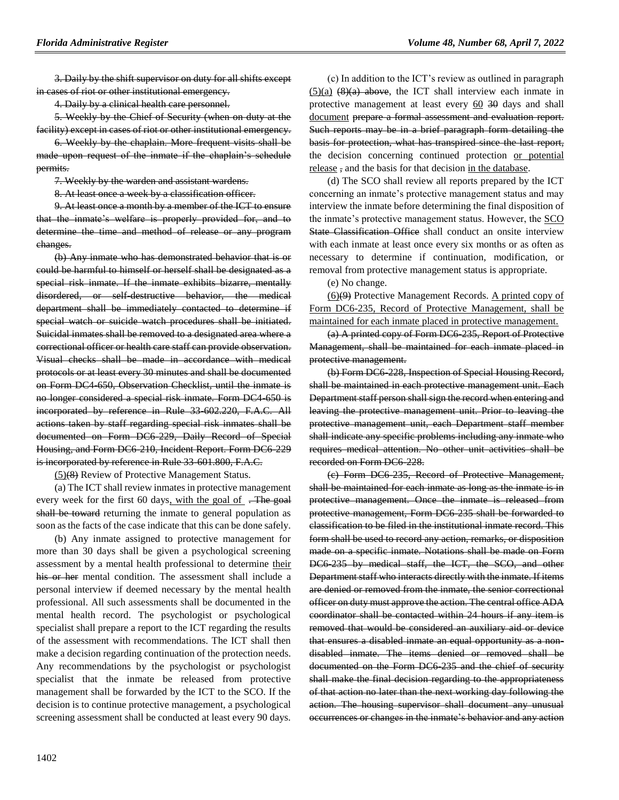3. Daily by the shift supervisor on duty for all shifts except in cases of riot or other institutional emergency.

4. Daily by a clinical health care personnel.

5. Weekly by the Chief of Security (when on duty at the facility) except in cases of riot or other institutional emergency.

6. Weekly by the chaplain. More frequent visits shall be made upon request of the inmate if the chaplain's schedule permits.

7. Weekly by the warden and assistant wardens.

8. At least once a week by a classification officer.

9. At least once a month by a member of the ICT to ensure that the inmate's welfare is properly provided for, and to determine the time and method of release or any program changes.

(b) Any inmate who has demonstrated behavior that is or could be harmful to himself or herself shall be designated as a special risk inmate. If the inmate exhibits bizarre, mentally disordered, or self-destructive behavior, the medical department shall be immediately contacted to determine if special watch or suicide watch procedures shall be initiated. Suicidal inmates shall be removed to a designated area where a correctional officer or health care staff can provide observation. Visual checks shall be made in accordance with medical protocols or at least every 30 minutes and shall be documented on Form DC4-650, Observation Checklist, until the inmate is no longer considered a special risk inmate. Form DC4-650 is incorporated by reference in Rule 33-602.220, F.A.C. All actions taken by staff regarding special risk inmates shall be documented on Form DC6-229, Daily Record of Special Housing, and Form DC6-210, Incident Report. Form DC6-229 is incorporated by reference in Rule 33-601.800, F.A.C.

(5)(8) Review of Protective Management Status.

(a) The ICT shall review inmates in protective management every week for the first 60 days, with the goal of . The goal shall be toward returning the inmate to general population as soon as the facts of the case indicate that this can be done safely.

(b) Any inmate assigned to protective management for more than 30 days shall be given a psychological screening assessment by a mental health professional to determine their his or her mental condition. The assessment shall include a personal interview if deemed necessary by the mental health professional. All such assessments shall be documented in the mental health record. The psychologist or psychological specialist shall prepare a report to the ICT regarding the results of the assessment with recommendations. The ICT shall then make a decision regarding continuation of the protection needs. Any recommendations by the psychologist or psychologist specialist that the inmate be released from protective management shall be forwarded by the ICT to the SCO. If the decision is to continue protective management, a psychological screening assessment shall be conducted at least every 90 days.

(c) In addition to the ICT's review as outlined in paragraph  $(5)(a)$   $(8)(a)$  above, the ICT shall interview each inmate in protective management at least every 60 30 days and shall document prepare a formal assessment and evaluation report. Such reports may be in a brief paragraph form detailing the basis for protection, what has transpired since the last report, the decision concerning continued protection or potential release , and the basis for that decision in the database.

(d) The SCO shall review all reports prepared by the ICT concerning an inmate's protective management status and may interview the inmate before determining the final disposition of the inmate's protective management status. However, the SCO State Classification Office shall conduct an onsite interview with each inmate at least once every six months or as often as necessary to determine if continuation, modification, or removal from protective management status is appropriate.

(e) No change.

 $(6)$ (9) Protective Management Records. A printed copy of Form DC6-235, Record of Protective Management, shall be maintained for each inmate placed in protective management.

(a) A printed copy of Form DC6-235, Report of Protective Management, shall be maintained for each inmate placed in protective management.

(b) Form DC6-228, Inspection of Special Housing Record, shall be maintained in each protective management unit. Each Department staff person shall sign the record when entering and leaving the protective management unit. Prior to leaving the protective management unit, each Department staff member shall indicate any specific problems including any inmate who requires medical attention. No other unit activities shall be recorded on Form DC6-228.

(c) Form DC6-235, Record of Protective Management, shall be maintained for each inmate as long as the inmate is in protective management. Once the inmate is released from protective management, Form DC6-235 shall be forwarded to classification to be filed in the institutional inmate record. This form shall be used to record any action, remarks, or disposition made on a specific inmate. Notations shall be made on Form DC6-235 by medical staff, the ICT, the SCO, and other Department staff who interacts directly with the inmate. If items are denied or removed from the inmate, the senior correctional officer on duty must approve the action. The central office ADA coordinator shall be contacted within 24 hours if any item is removed that would be considered an auxiliary aid or device that ensures a disabled inmate an equal opportunity as a nondisabled inmate. The items denied or removed shall be documented on the Form DC6-235 and the chief of security shall make the final decision regarding to the appropriateness of that action no later than the next working day following the action. The housing supervisor shall document any unusual occurrences or changes in the inmate's behavior and any action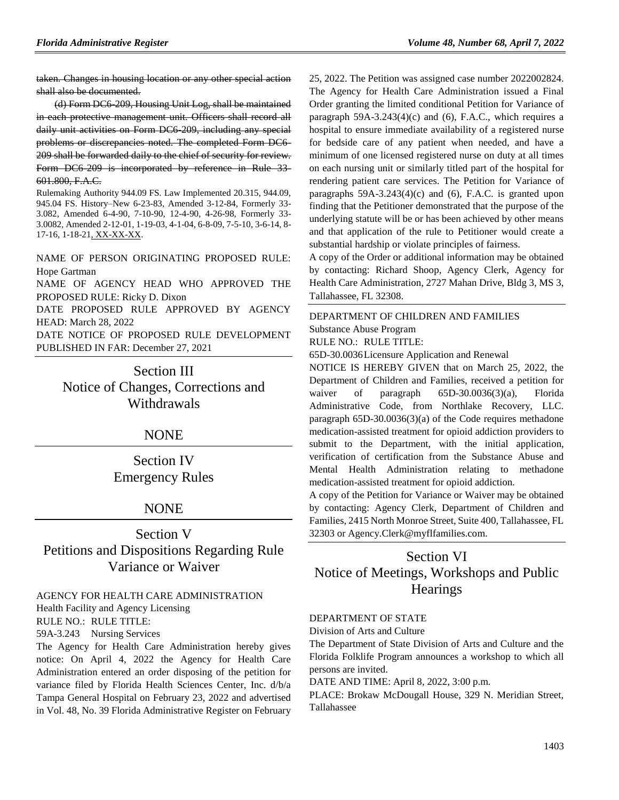taken. Changes in housing location or any other special action shall also be documented.

(d) Form DC6-209, Housing Unit Log, shall be maintained in each protective management unit. Officers shall record all daily unit activities on Form DC6-209, including any special problems or discrepancies noted. The completed Form DC6- 209 shall be forwarded daily to the chief of security for review. Form DC6-209 is incorporated by reference in Rule 33-601.800, F.A.C.

Rulemaking Authority 944.09 FS. Law Implemented 20.315, 944.09, 945.04 FS. History–New 6-23-83, Amended 3-12-84, Formerly 33- 3.082, Amended 6-4-90, 7-10-90, 12-4-90, 4-26-98, Formerly 33- 3.0082, Amended 2-12-01, 1-19-03, 4-1-04, 6-8-09, 7-5-10, 3-6-14, 8- 17-16, 1-18-21, XX-XX-XX.

NAME OF PERSON ORIGINATING PROPOSED RULE: Hope Gartman

NAME OF AGENCY HEAD WHO APPROVED THE PROPOSED RULE: Ricky D. Dixon

DATE PROPOSED RULE APPROVED BY AGENCY HEAD: March 28, 2022

DATE NOTICE OF PROPOSED RULE DEVELOPMENT PUBLISHED IN FAR: December 27, 2021

> Section III Notice of Changes, Corrections and Withdrawals

## NONE

Section IV Emergency Rules

# NONE

# Section V Petitions and Dispositions Regarding Rule Variance or Waiver

[AGENCY FOR HEALTH CARE ADMINISTRATION](https://www.flrules.org/gateway/department.asp?id=59) [Health Facility and Agency Licensing](https://www.flrules.org/gateway/organization.asp?id=186)

RULE NO.: RULE TITLE:

[59A-3.243](https://www.flrules.org/gateway/ruleNo.asp?id=59A-3.243) Nursing Services

The Agency for Health Care Administration hereby gives notice: On April 4, 2022 the Agency for Health Care Administration entered an order disposing of the petition for variance filed by Florida Health Sciences Center, Inc. d/b/a Tampa General Hospital on February 23, 2022 and advertised in Vol. 48, No. 39 Florida Administrative Register on February 25, 2022. The Petition was assigned case number 2022002824. The Agency for Health Care Administration issued a Final Order granting the limited conditional Petition for Variance of paragraph  $59A-3.243(4)(c)$  and  $(6)$ , F.A.C., which requires a hospital to ensure immediate availability of a registered nurse for bedside care of any patient when needed, and have a minimum of one licensed registered nurse on duty at all times on each nursing unit or similarly titled part of the hospital for rendering patient care services. The Petition for Variance of paragraphs 59A-3.243(4)(c) and (6), F.A.C. is granted upon finding that the Petitioner demonstrated that the purpose of the underlying statute will be or has been achieved by other means and that application of the rule to Petitioner would create a substantial hardship or violate principles of fairness.

A copy of the Order or additional information may be obtained by contacting: Richard Shoop, Agency Clerk, Agency for Health Care Administration, 2727 Mahan Drive, Bldg 3, MS 3, Tallahassee, FL 32308.

# [DEPARTMENT OF CHILDREN AND FAMILIES](https://www.flrules.org/gateway/department.asp?id=65) [Substance Abuse Program](https://www.flrules.org/gateway/organization.asp?id=343)

RULE NO.: RULE TITLE:

[65D-30.0036L](https://www.flrules.org/gateway/ruleNo.asp?id=65D-30.0036)icensure Application and Renewal

NOTICE IS HEREBY GIVEN that on March 25, 2022, the Department of Children and Families, received a petition for waiver of paragraph 65D-30.0036(3)(a), Florida Administrative Code, from Northlake Recovery, LLC. paragraph 65D-30.0036(3)(a) of the Code requires methadone medication-assisted treatment for opioid addiction providers to submit to the Department, with the initial application, verification of certification from the Substance Abuse and Mental Health Administration relating to methadone medication-assisted treatment for opioid addiction.

A copy of the Petition for Variance or Waiver may be obtained by contacting: Agency Clerk, Department of Children and Families, 2415 North Monroe Street, Suite 400, Tallahassee, FL 32303 or Agency.Clerk@myflfamilies.com.

# Section VI Notice of Meetings, Workshops and Public **Hearings**

#### [DEPARTMENT OF STATE](https://www.flrules.org/gateway/department.asp?id=1)

[Division of Arts and Culture](https://www.flrules.org/gateway/organization.asp?id=17)

The Department of State Division of Arts and Culture and the Florida Folklife Program announces a workshop to which all persons are invited.

DATE AND TIME: April 8, 2022, 3:00 p.m.

PLACE: Brokaw McDougall House, 329 N. Meridian Street, Tallahassee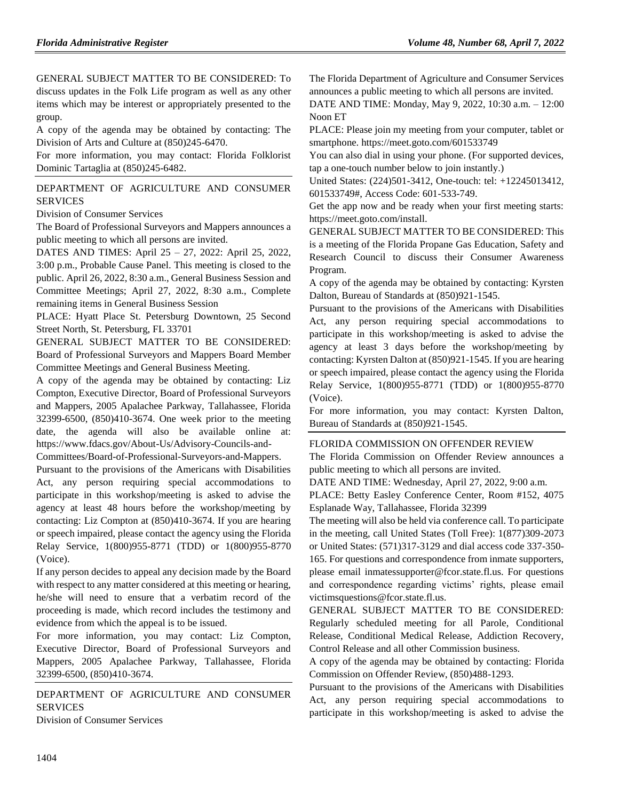GENERAL SUBJECT MATTER TO BE CONSIDERED: To discuss updates in the Folk Life program as well as any other items which may be interest or appropriately presented to the group.

A copy of the agenda may be obtained by contacting: The Division of Arts and Culture at (850)245-6470.

For more information, you may contact: Florida Folklorist Dominic Tartaglia at (850)245-6482.

[DEPARTMENT OF AGRICULTURE AND CONSUMER](https://www.flrules.org/gateway/department.asp?id=5)  [SERVICES](https://www.flrules.org/gateway/department.asp?id=5)

[Division of Consumer Services](https://www.flrules.org/gateway/organization.asp?id=170)

The Board of Professional Surveyors and Mappers announces a public meeting to which all persons are invited.

DATES AND TIMES: April 25 – 27, 2022: April 25, 2022, 3:00 p.m., Probable Cause Panel. This meeting is closed to the public. April 26, 2022, 8:30 a.m., General Business Session and Committee Meetings; April 27, 2022, 8:30 a.m., Complete remaining items in General Business Session

PLACE: Hyatt Place St. Petersburg Downtown, 25 Second Street North, St. Petersburg, FL 33701

GENERAL SUBJECT MATTER TO BE CONSIDERED: Board of Professional Surveyors and Mappers Board Member Committee Meetings and General Business Meeting.

A copy of the agenda may be obtained by contacting: Liz Compton, Executive Director, Board of Professional Surveyors and Mappers, 2005 Apalachee Parkway, Tallahassee, Florida 32399-6500, (850)410-3674. One week prior to the meeting date, the agenda will also be available online at: https://www.fdacs.gov/About-Us/Advisory-Councils-and-

Committees/Board-of-Professional-Surveyors-and-Mappers.

Pursuant to the provisions of the Americans with Disabilities Act, any person requiring special accommodations to participate in this workshop/meeting is asked to advise the agency at least 48 hours before the workshop/meeting by contacting: Liz Compton at (850)410-3674. If you are hearing or speech impaired, please contact the agency using the Florida Relay Service, 1(800)955-8771 (TDD) or 1(800)955-8770 (Voice).

If any person decides to appeal any decision made by the Board with respect to any matter considered at this meeting or hearing, he/she will need to ensure that a verbatim record of the proceeding is made, which record includes the testimony and evidence from which the appeal is to be issued.

For more information, you may contact: Liz Compton, Executive Director, Board of Professional Surveyors and Mappers, 2005 Apalachee Parkway, Tallahassee, Florida 32399-6500, (850)410-3674.

[DEPARTMENT OF AGRICULTURE AND CONSUMER](https://www.flrules.org/gateway/department.asp?id=5)  **[SERVICES](https://www.flrules.org/gateway/department.asp?id=5)** 

[Division of Consumer Services](https://www.flrules.org/gateway/organization.asp?id=170)

The Florida Department of Agriculture and Consumer Services announces a public meeting to which all persons are invited.

DATE AND TIME: Monday, May 9, 2022, 10:30 a.m. – 12:00 Noon ET

PLACE: Please join my meeting from your computer, tablet or smartphone. https://meet.goto.com/601533749

You can also dial in using your phone. (For supported devices, tap a one-touch number below to join instantly.)

United States: (224)501-3412, One-touch: tel: +12245013412, 601533749#, Access Code: 601-533-749.

Get the app now and be ready when your first meeting starts: https://meet.goto.com/install.

GENERAL SUBJECT MATTER TO BE CONSIDERED: This is a meeting of the Florida Propane Gas Education, Safety and Research Council to discuss their Consumer Awareness Program.

A copy of the agenda may be obtained by contacting: Kyrsten Dalton, Bureau of Standards at (850)921-1545.

Pursuant to the provisions of the Americans with Disabilities Act, any person requiring special accommodations to participate in this workshop/meeting is asked to advise the agency at least 3 days before the workshop/meeting by contacting: Kyrsten Dalton at (850)921-1545. If you are hearing or speech impaired, please contact the agency using the Florida Relay Service, 1(800)955-8771 (TDD) or 1(800)955-8770 (Voice).

For more information, you may contact: Kyrsten Dalton, Bureau of Standards at (850)921-1545.

### [FLORIDA COMMISSION ON OFFENDER REVIEW](https://www.flrules.org/gateway/department.asp?id=23)

The Florida Commission on Offender Review announces a public meeting to which all persons are invited.

DATE AND TIME: Wednesday, April 27, 2022, 9:00 a.m.

PLACE: Betty Easley Conference Center, Room #152, 4075 Esplanade Way, Tallahassee, Florida 32399

The meeting will also be held via conference call. To participate in the meeting, call United States (Toll Free): 1(877)309-2073 or United States: (571)317-3129 and dial access code 337-350- 165. For questions and correspondence from inmate supporters, please email inmatessupporter@fcor.state.fl.us. For questions and correspondence regarding victims' rights, please email victimsquestions@fcor.state.fl.us.

GENERAL SUBJECT MATTER TO BE CONSIDERED: Regularly scheduled meeting for all Parole, Conditional Release, Conditional Medical Release, Addiction Recovery, Control Release and all other Commission business.

A copy of the agenda may be obtained by contacting: Florida Commission on Offender Review, (850)488-1293.

Pursuant to the provisions of the Americans with Disabilities Act, any person requiring special accommodations to participate in this workshop/meeting is asked to advise the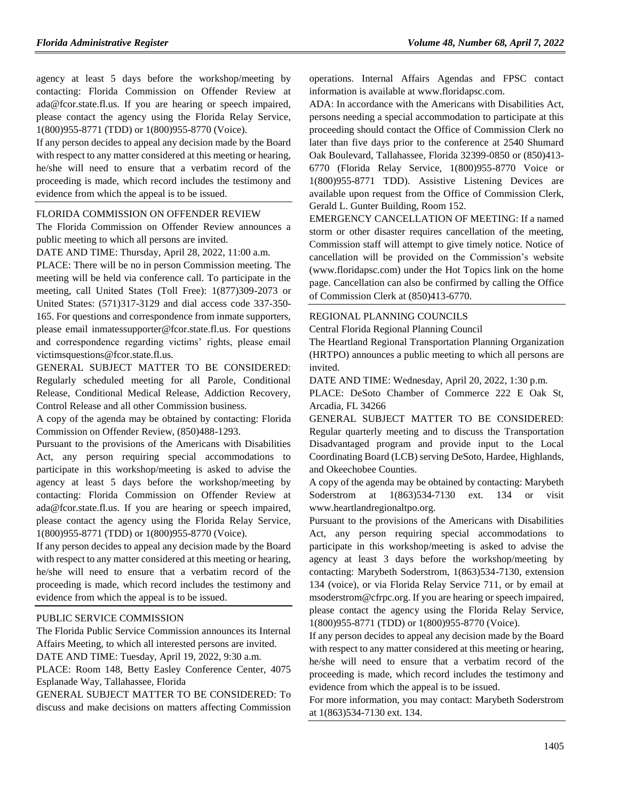agency at least 5 days before the workshop/meeting by contacting: Florida Commission on Offender Review at ada@fcor.state.fl.us. If you are hearing or speech impaired, please contact the agency using the Florida Relay Service, 1(800)955-8771 (TDD) or 1(800)955-8770 (Voice).

If any person decides to appeal any decision made by the Board with respect to any matter considered at this meeting or hearing, he/she will need to ensure that a verbatim record of the proceeding is made, which record includes the testimony and evidence from which the appeal is to be issued.

#### [FLORIDA COMMISSION ON OFFENDER REVIEW](https://www.flrules.org/gateway/department.asp?id=23)

The Florida Commission on Offender Review announces a public meeting to which all persons are invited.

DATE AND TIME: Thursday, April 28, 2022, 11:00 a.m.

PLACE: There will be no in person Commission meeting. The meeting will be held via conference call. To participate in the meeting, call United States (Toll Free): 1(877)309-2073 or United States: (571)317-3129 and dial access code 337-350- 165. For questions and correspondence from inmate supporters, please email inmatessupporter@fcor.state.fl.us. For questions and correspondence regarding victims' rights, please email victimsquestions@fcor.state.fl.us.

GENERAL SUBJECT MATTER TO BE CONSIDERED: Regularly scheduled meeting for all Parole, Conditional Release, Conditional Medical Release, Addiction Recovery, Control Release and all other Commission business.

A copy of the agenda may be obtained by contacting: Florida Commission on Offender Review, (850)488-1293.

Pursuant to the provisions of the Americans with Disabilities Act, any person requiring special accommodations to participate in this workshop/meeting is asked to advise the agency at least 5 days before the workshop/meeting by contacting: Florida Commission on Offender Review at ada@fcor.state.fl.us. If you are hearing or speech impaired, please contact the agency using the Florida Relay Service, 1(800)955-8771 (TDD) or 1(800)955-8770 (Voice).

If any person decides to appeal any decision made by the Board with respect to any matter considered at this meeting or hearing, he/she will need to ensure that a verbatim record of the proceeding is made, which record includes the testimony and evidence from which the appeal is to be issued.

#### PUBLIC SERVICE COMMISSION

The Florida Public Service Commission announces its Internal Affairs Meeting, to which all interested persons are invited.

DATE AND TIME: Tuesday, April 19, 2022, 9:30 a.m.

PLACE: Room 148, Betty Easley Conference Center, 4075 Esplanade Way, Tallahassee, Florida

GENERAL SUBJECT MATTER TO BE CONSIDERED: To discuss and make decisions on matters affecting Commission operations. Internal Affairs Agendas and FPSC contact information is available at [www.floridapsc.com.](http://www.floridapsc.com/)

ADA: In accordance with the Americans with Disabilities Act, persons needing a special accommodation to participate at this proceeding should contact the Office of Commission Clerk no later than five days prior to the conference at 2540 Shumard Oak Boulevard, Tallahassee, Florida 32399-0850 or (850)413- 6770 (Florida Relay Service, 1(800)955-8770 Voice or 1(800)955-8771 TDD). Assistive Listening Devices are available upon request from the Office of Commission Clerk, Gerald L. Gunter Building, Room 152.

EMERGENCY CANCELLATION OF MEETING: If a named storm or other disaster requires cancellation of the meeting, Commission staff will attempt to give timely notice. Notice of cancellation will be provided on the Commission's website [\(www.](http://www/)floridapsc.com) under the Hot Topics link on the home page. Cancellation can also be confirmed by calling the Office of Commission Clerk at (850)413-6770.

#### [REGIONAL PLANNING COUNCILS](https://www.flrules.org/gateway/department.asp?id=29)

[Central Florida Regional Planning Council](https://www.flrules.org/gateway/organization.asp?id=63)

The Heartland Regional Transportation Planning Organization (HRTPO) announces a public meeting to which all persons are invited.

DATE AND TIME: Wednesday, April 20, 2022, 1:30 p.m.

PLACE: DeSoto Chamber of Commerce 222 E Oak St, Arcadia, FL 34266

GENERAL SUBJECT MATTER TO BE CONSIDERED: Regular quarterly meeting and to discuss the Transportation Disadvantaged program and provide input to the Local Coordinating Board (LCB) serving DeSoto, Hardee, Highlands, and Okeechobee Counties.

A copy of the agenda may be obtained by contacting: Marybeth Soderstrom at 1(863)534-7130 ext. 134 or visit www.heartlandregionaltpo.org.

Pursuant to the provisions of the Americans with Disabilities Act, any person requiring special accommodations to participate in this workshop/meeting is asked to advise the agency at least 3 days before the workshop/meeting by contacting: Marybeth Soderstrom, 1(863)534-7130, extension 134 (voice), or via Florida Relay Service 711, or by email at msoderstrom@cfrpc.org. If you are hearing or speech impaired, please contact the agency using the Florida Relay Service, 1(800)955-8771 (TDD) or 1(800)955-8770 (Voice).

If any person decides to appeal any decision made by the Board with respect to any matter considered at this meeting or hearing, he/she will need to ensure that a verbatim record of the proceeding is made, which record includes the testimony and evidence from which the appeal is to be issued.

For more information, you may contact: Marybeth Soderstrom at 1(863)534-7130 ext. 134.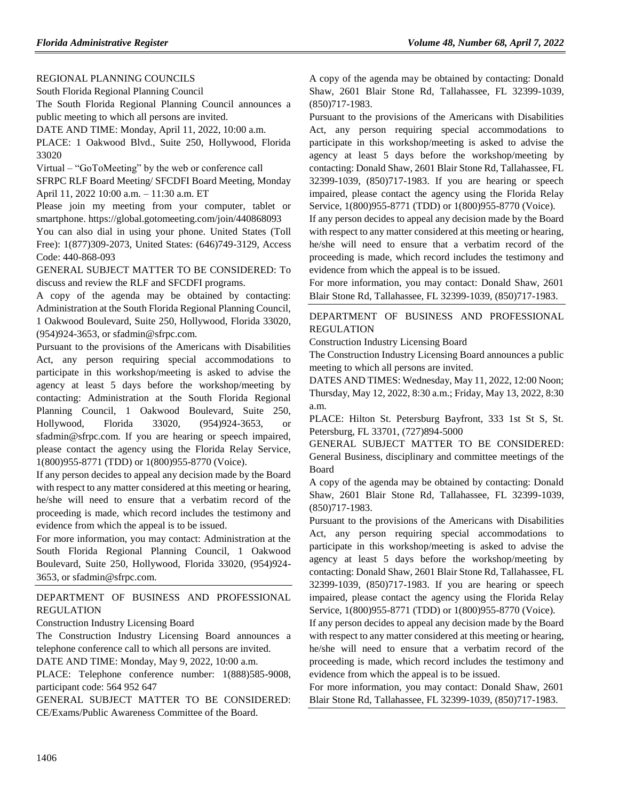## [REGIONAL PLANNING COUNCILS](https://www.flrules.org/gateway/department.asp?id=29)

[South Florida Regional Planning Council](https://www.flrules.org/gateway/organization.asp?id=66)

The South Florida Regional Planning Council announces a public meeting to which all persons are invited.

DATE AND TIME: Monday, April 11, 2022, 10:00 a.m.

PLACE: 1 Oakwood Blvd., Suite 250, Hollywood, Florida 33020

Virtual – "GoToMeeting" by the web or conference call

SFRPC RLF Board Meeting/ SFCDFI Board Meeting, Monday April 11, 2022 10:00 a.m. – 11:30 a.m. ET

Please join my meeting from your computer, tablet or smartphone. https://global.gotomeeting.com/join/440868093

You can also dial in using your phone. United States (Toll Free): 1(877)309-2073, United States: (646)749-3129, Access Code: 440-868-093

GENERAL SUBJECT MATTER TO BE CONSIDERED: To discuss and review the RLF and SFCDFI programs.

A copy of the agenda may be obtained by contacting: Administration at the South Florida Regional Planning Council, 1 Oakwood Boulevard, Suite 250, Hollywood, Florida 33020, (954)924-3653, or sfadmin@sfrpc.com.

Pursuant to the provisions of the Americans with Disabilities Act, any person requiring special accommodations to participate in this workshop/meeting is asked to advise the agency at least 5 days before the workshop/meeting by contacting: Administration at the South Florida Regional Planning Council, 1 Oakwood Boulevard, Suite 250, Hollywood, Florida 33020, (954)924-3653, or sfadmin@sfrpc.com. If you are hearing or speech impaired, please contact the agency using the Florida Relay Service, 1(800)955-8771 (TDD) or 1(800)955-8770 (Voice).

If any person decides to appeal any decision made by the Board with respect to any matter considered at this meeting or hearing, he/she will need to ensure that a verbatim record of the proceeding is made, which record includes the testimony and evidence from which the appeal is to be issued.

For more information, you may contact: Administration at the South Florida Regional Planning Council, 1 Oakwood Boulevard, Suite 250, Hollywood, Florida 33020, (954)924- 3653, or sfadmin@sfrpc.com.

# [DEPARTMENT OF BUSINESS AND PROFESSIONAL](https://www.flrules.org/gateway/department.asp?id=61)  [REGULATION](https://www.flrules.org/gateway/department.asp?id=61)

[Construction Industry Licensing Board](https://www.flrules.org/gateway/organization.asp?id=274)

The Construction Industry Licensing Board announces a telephone conference call to which all persons are invited. DATE AND TIME: Monday, May 9, 2022, 10:00 a.m.

PLACE: Telephone conference number: 1(888)585-9008, participant code: 564 952 647

GENERAL SUBJECT MATTER TO BE CONSIDERED: CE/Exams/Public Awareness Committee of the Board.

A copy of the agenda may be obtained by contacting: Donald Shaw, 2601 Blair Stone Rd, Tallahassee, FL 32399-1039, (850)717-1983.

Pursuant to the provisions of the Americans with Disabilities Act, any person requiring special accommodations to participate in this workshop/meeting is asked to advise the agency at least 5 days before the workshop/meeting by contacting: Donald Shaw, 2601 Blair Stone Rd, Tallahassee, FL 32399-1039, (850)717-1983. If you are hearing or speech impaired, please contact the agency using the Florida Relay Service, 1(800)955-8771 (TDD) or 1(800)955-8770 (Voice).

If any person decides to appeal any decision made by the Board with respect to any matter considered at this meeting or hearing, he/she will need to ensure that a verbatim record of the proceeding is made, which record includes the testimony and evidence from which the appeal is to be issued.

For more information, you may contact: Donald Shaw, 2601 Blair Stone Rd, Tallahassee, FL 32399-1039, (850)717-1983.

## [DEPARTMENT OF BUSINESS AND PROFESSIONAL](https://www.flrules.org/gateway/department.asp?id=61)  [REGULATION](https://www.flrules.org/gateway/department.asp?id=61)

[Construction Industry Licensing Board](https://www.flrules.org/gateway/organization.asp?id=274)

The Construction Industry Licensing Board announces a public meeting to which all persons are invited.

DATES AND TIMES: Wednesday, May 11, 2022, 12:00 Noon; Thursday, May 12, 2022, 8:30 a.m.; Friday, May 13, 2022, 8:30 a.m.

PLACE: Hilton St. Petersburg Bayfront, 333 1st St S, St. Petersburg, FL 33701, (727)894-5000

GENERAL SUBJECT MATTER TO BE CONSIDERED: General Business, disciplinary and committee meetings of the Board

A copy of the agenda may be obtained by contacting: Donald Shaw, 2601 Blair Stone Rd, Tallahassee, FL 32399-1039, (850)717-1983.

Pursuant to the provisions of the Americans with Disabilities Act, any person requiring special accommodations to participate in this workshop/meeting is asked to advise the agency at least 5 days before the workshop/meeting by contacting: Donald Shaw, 2601 Blair Stone Rd, Tallahassee, FL 32399-1039, (850)717-1983. If you are hearing or speech impaired, please contact the agency using the Florida Relay Service, 1(800)955-8771 (TDD) or 1(800)955-8770 (Voice).

If any person decides to appeal any decision made by the Board with respect to any matter considered at this meeting or hearing, he/she will need to ensure that a verbatim record of the proceeding is made, which record includes the testimony and evidence from which the appeal is to be issued.

For more information, you may contact: Donald Shaw, 2601 Blair Stone Rd, Tallahassee, FL 32399-1039, (850)717-1983.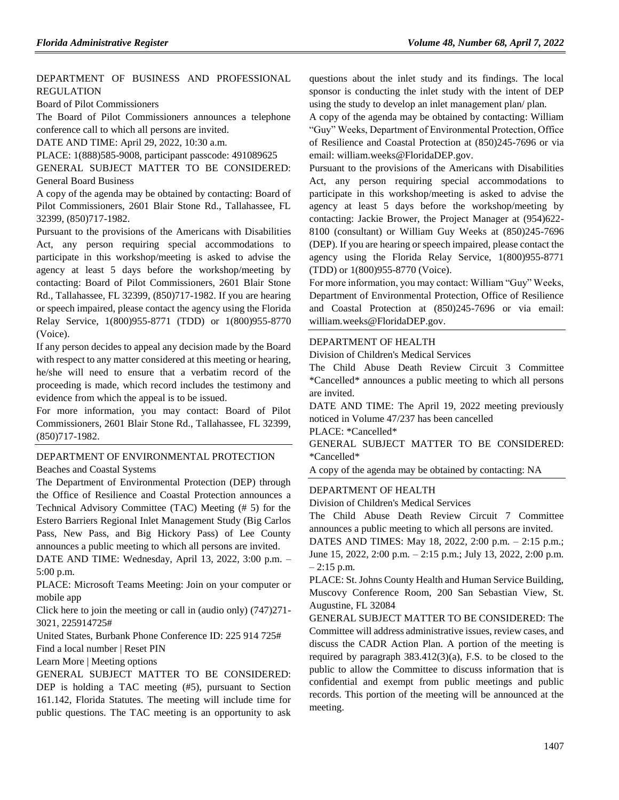[DEPARTMENT OF BUSINESS AND PROFESSIONAL](https://www.flrules.org/gateway/department.asp?id=61)  [REGULATION](https://www.flrules.org/gateway/department.asp?id=61)

[Board of Pilot Commissioners](https://www.flrules.org/gateway/organization.asp?id=266)

The Board of Pilot Commissioners announces a telephone conference call to which all persons are invited.

DATE AND TIME: April 29, 2022, 10:30 a.m.

PLACE: 1(888)585-9008, participant passcode: 491089625

GENERAL SUBJECT MATTER TO BE CONSIDERED: General Board Business

A copy of the agenda may be obtained by contacting: Board of Pilot Commissioners, 2601 Blair Stone Rd., Tallahassee, FL 32399, (850)717-1982.

Pursuant to the provisions of the Americans with Disabilities Act, any person requiring special accommodations to participate in this workshop/meeting is asked to advise the agency at least 5 days before the workshop/meeting by contacting: Board of Pilot Commissioners, 2601 Blair Stone Rd., Tallahassee, FL 32399, (850)717-1982. If you are hearing or speech impaired, please contact the agency using the Florida Relay Service, 1(800)955-8771 (TDD) or 1(800)955-8770 (Voice).

If any person decides to appeal any decision made by the Board with respect to any matter considered at this meeting or hearing, he/she will need to ensure that a verbatim record of the proceeding is made, which record includes the testimony and evidence from which the appeal is to be issued.

For more information, you may contact: Board of Pilot Commissioners, 2601 Blair Stone Rd., Tallahassee, FL 32399, (850)717-1982.

[DEPARTMENT OF ENVIRONMENTAL PROTECTION](https://www.flrules.org/gateway/department.asp?id=62) [Beaches and Coastal Systems](https://www.flrules.org/gateway/organization.asp?id=288)

The Department of Environmental Protection (DEP) through the Office of Resilience and Coastal Protection announces a Technical Advisory Committee (TAC) Meeting (# 5) for the Estero Barriers Regional Inlet Management Study (Big Carlos Pass, New Pass, and Big Hickory Pass) of Lee County announces a public meeting to which all persons are invited.

DATE AND TIME: Wednesday, April 13, 2022, 3:00 p.m. – 5:00 p.m.

PLACE: Microsoft Teams Meeting: Join on your computer or mobile app

Click here to join the meeting or call in (audio only) (747)271- 3021, 225914725#

United States, Burbank Phone Conference ID: 225 914 725# Find a local number | Reset PIN

Learn More | Meeting options

GENERAL SUBJECT MATTER TO BE CONSIDERED: DEP is holding a TAC meeting (#5), pursuant to Section 161.142, Florida Statutes. The meeting will include time for public questions. The TAC meeting is an opportunity to ask questions about the inlet study and its findings. The local sponsor is conducting the inlet study with the intent of DEP using the study to develop an inlet management plan/ plan.

A copy of the agenda may be obtained by contacting: William "Guy" Weeks, Department of Environmental Protection, Office of Resilience and Coastal Protection at (850)245-7696 or via email: william.weeks@FloridaDEP.gov.

Pursuant to the provisions of the Americans with Disabilities Act, any person requiring special accommodations to participate in this workshop/meeting is asked to advise the agency at least 5 days before the workshop/meeting by contacting: Jackie Brower, the Project Manager at (954)622- 8100 (consultant) or William Guy Weeks at (850)245-7696 (DEP). If you are hearing or speech impaired, please contact the agency using the Florida Relay Service, 1(800)955-8771 (TDD) or 1(800)955-8770 (Voice).

For more information, you may contact: William "Guy" Weeks, Department of Environmental Protection, Office of Resilience and Coastal Protection at (850)245-7696 or via email: william.weeks@FloridaDEP.gov.

#### [DEPARTMENT OF HEALTH](https://www.flrules.org/gateway/department.asp?id=64)

[Division of Children's Medical Services](https://www.flrules.org/gateway/organization.asp?id=333)

The Child Abuse Death Review Circuit 3 Committee \*Cancelled\* announces a public meeting to which all persons are invited.

DATE AND TIME: The April 19, 2022 meeting previously noticed in Volume 47/237 has been cancelled

PLACE: \*Cancelled\*

GENERAL SUBJECT MATTER TO BE CONSIDERED: \*Cancelled\*

A copy of the agenda may be obtained by contacting: NA

### [DEPARTMENT OF HEALTH](https://www.flrules.org/gateway/department.asp?id=64)

[Division of Children's Medical Services](https://www.flrules.org/gateway/organization.asp?id=333)

The Child Abuse Death Review Circuit 7 Committee announces a public meeting to which all persons are invited.

DATES AND TIMES: May 18, 2022, 2:00 p.m. – 2:15 p.m.; June 15, 2022, 2:00 p.m. – 2:15 p.m.; July 13, 2022, 2:00 p.m.  $-2:15$  p.m.

PLACE: St. Johns County Health and Human Service Building, Muscovy Conference Room, 200 San Sebastian View, St. Augustine, FL 32084

GENERAL SUBJECT MATTER TO BE CONSIDERED: The Committee will address administrative issues, review cases, and discuss the CADR Action Plan. A portion of the meeting is required by paragraph 383.412(3)(a), F.S. to be closed to the public to allow the Committee to discuss information that is confidential and exempt from public meetings and public records. This portion of the meeting will be announced at the meeting.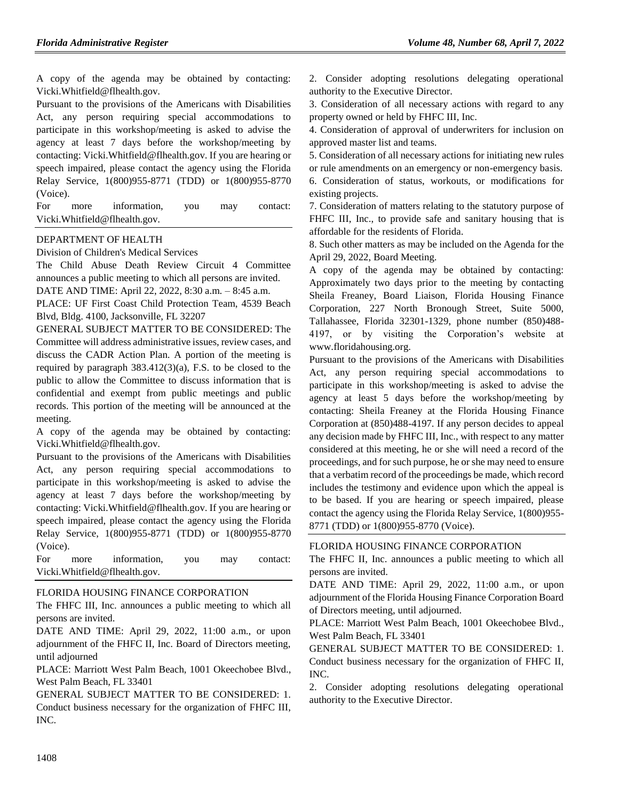A copy of the agenda may be obtained by contacting: Vicki.Whitfield@flhealth.gov.

Pursuant to the provisions of the Americans with Disabilities Act, any person requiring special accommodations to participate in this workshop/meeting is asked to advise the agency at least 7 days before the workshop/meeting by contacting: Vicki.Whitfield@flhealth.gov. If you are hearing or speech impaired, please contact the agency using the Florida Relay Service, 1(800)955-8771 (TDD) or 1(800)955-8770 (Voice).

| For | more | information.                   | you | may | contact: |
|-----|------|--------------------------------|-----|-----|----------|
|     |      | Vicki. Whitfield@flhealth.gov. |     |     |          |

## [DEPARTMENT OF HEALTH](https://www.flrules.org/gateway/department.asp?id=64)

[Division of Children's Medical Services](https://www.flrules.org/gateway/organization.asp?id=333)

The Child Abuse Death Review Circuit 4 Committee announces a public meeting to which all persons are invited.

DATE AND TIME: April 22, 2022, 8:30 a.m. – 8:45 a.m.

PLACE: UF First Coast Child Protection Team, 4539 Beach Blvd, Bldg. 4100, Jacksonville, FL 32207

GENERAL SUBJECT MATTER TO BE CONSIDERED: The Committee will address administrative issues, review cases, and discuss the CADR Action Plan. A portion of the meeting is required by paragraph 383.412(3)(a), F.S. to be closed to the public to allow the Committee to discuss information that is confidential and exempt from public meetings and public records. This portion of the meeting will be announced at the meeting.

A copy of the agenda may be obtained by contacting: Vicki.Whitfield@flhealth.gov.

Pursuant to the provisions of the Americans with Disabilities Act, any person requiring special accommodations to participate in this workshop/meeting is asked to advise the agency at least 7 days before the workshop/meeting by contacting: Vicki.Whitfield@flhealth.gov. If you are hearing or speech impaired, please contact the agency using the Florida Relay Service, 1(800)955-8771 (TDD) or 1(800)955-8770 (Voice).

For more information, you may contact: Vicki.Whitfield@flhealth.gov.

#### [FLORIDA HOUSING FINANCE CORPORATION](https://www.flrules.org/gateway/department.asp?id=67)

The FHFC III, Inc. announces a public meeting to which all persons are invited.

DATE AND TIME: April 29, 2022, 11:00 a.m., or upon adjournment of the FHFC II, Inc. Board of Directors meeting, until adjourned

PLACE: Marriott West Palm Beach, 1001 Okeechobee Blvd., West Palm Beach, FL 33401

GENERAL SUBJECT MATTER TO BE CONSIDERED: 1. Conduct business necessary for the organization of FHFC III, INC.

2. Consider adopting resolutions delegating operational authority to the Executive Director.

3. Consideration of all necessary actions with regard to any property owned or held by FHFC III, Inc.

4. Consideration of approval of underwriters for inclusion on approved master list and teams.

5. Consideration of all necessary actions for initiating new rules

or rule amendments on an emergency or non-emergency basis.

6. Consideration of status, workouts, or modifications for existing projects.

7. Consideration of matters relating to the statutory purpose of FHFC III, Inc., to provide safe and sanitary housing that is affordable for the residents of Florida.

8. Such other matters as may be included on the Agenda for the April 29, 2022, Board Meeting.

A copy of the agenda may be obtained by contacting: Approximately two days prior to the meeting by contacting Sheila Freaney, Board Liaison, Florida Housing Finance Corporation, 227 North Bronough Street, Suite 5000, Tallahassee, Florida 32301-1329, phone number (850)488- 4197, or by visiting the Corporation's website at www.floridahousing.org.

Pursuant to the provisions of the Americans with Disabilities Act, any person requiring special accommodations to participate in this workshop/meeting is asked to advise the agency at least 5 days before the workshop/meeting by contacting: Sheila Freaney at the Florida Housing Finance Corporation at (850)488-4197. If any person decides to appeal any decision made by FHFC III, Inc., with respect to any matter considered at this meeting, he or she will need a record of the proceedings, and for such purpose, he or she may need to ensure that a verbatim record of the proceedings be made, which record includes the testimony and evidence upon which the appeal is to be based. If you are hearing or speech impaired, please contact the agency using the Florida Relay Service, 1(800)955- 8771 (TDD) or 1(800)955-8770 (Voice).

#### [FLORIDA HOUSING FINANCE CORPORATION](https://www.flrules.org/gateway/department.asp?id=67)

The FHFC II, Inc. announces a public meeting to which all persons are invited.

DATE AND TIME: April 29, 2022, 11:00 a.m., or upon adjournment of the Florida Housing Finance Corporation Board of Directors meeting, until adjourned.

PLACE: Marriott West Palm Beach, 1001 Okeechobee Blvd., West Palm Beach, FL 33401

GENERAL SUBJECT MATTER TO BE CONSIDERED: 1. Conduct business necessary for the organization of FHFC II, INC.

2. Consider adopting resolutions delegating operational authority to the Executive Director.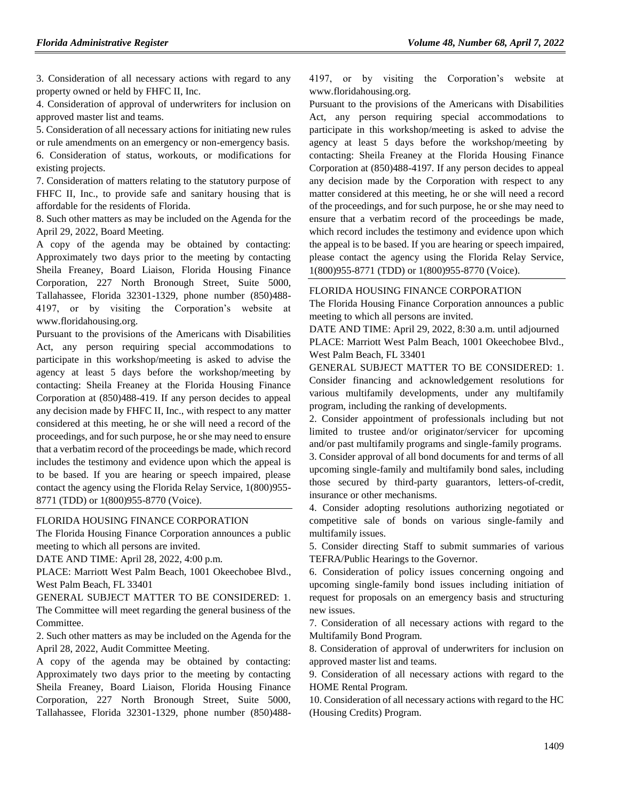3. Consideration of all necessary actions with regard to any property owned or held by FHFC II, Inc.

4. Consideration of approval of underwriters for inclusion on approved master list and teams.

5. Consideration of all necessary actions for initiating new rules or rule amendments on an emergency or non-emergency basis.

6. Consideration of status, workouts, or modifications for existing projects.

7. Consideration of matters relating to the statutory purpose of FHFC II, Inc., to provide safe and sanitary housing that is affordable for the residents of Florida.

8. Such other matters as may be included on the Agenda for the April 29, 2022, Board Meeting.

A copy of the agenda may be obtained by contacting: Approximately two days prior to the meeting by contacting Sheila Freaney, Board Liaison, Florida Housing Finance Corporation, 227 North Bronough Street, Suite 5000, Tallahassee, Florida 32301-1329, phone number (850)488- 4197, or by visiting the Corporation's website at www.floridahousing.org.

Pursuant to the provisions of the Americans with Disabilities Act, any person requiring special accommodations to participate in this workshop/meeting is asked to advise the agency at least 5 days before the workshop/meeting by contacting: Sheila Freaney at the Florida Housing Finance Corporation at (850)488-419. If any person decides to appeal any decision made by FHFC II, Inc., with respect to any matter considered at this meeting, he or she will need a record of the proceedings, and for such purpose, he or she may need to ensure that a verbatim record of the proceedings be made, which record includes the testimony and evidence upon which the appeal is to be based. If you are hearing or speech impaired, please contact the agency using the Florida Relay Service, 1(800)955- 8771 (TDD) or 1(800)955-8770 (Voice).

#### [FLORIDA HOUSING FINANCE CORPORATION](https://www.flrules.org/gateway/department.asp?id=67)

The Florida Housing Finance Corporation announces a public meeting to which all persons are invited.

DATE AND TIME: April 28, 2022, 4:00 p.m.

PLACE: Marriott West Palm Beach, 1001 Okeechobee Blvd., West Palm Beach, FL 33401

GENERAL SUBJECT MATTER TO BE CONSIDERED: 1. The Committee will meet regarding the general business of the Committee.

2. Such other matters as may be included on the Agenda for the April 28, 2022, Audit Committee Meeting.

A copy of the agenda may be obtained by contacting: Approximately two days prior to the meeting by contacting Sheila Freaney, Board Liaison, Florida Housing Finance Corporation, 227 North Bronough Street, Suite 5000, Tallahassee, Florida 32301-1329, phone number (850)4884197, or by visiting the Corporation's website at www.floridahousing.org.

Pursuant to the provisions of the Americans with Disabilities Act, any person requiring special accommodations to participate in this workshop/meeting is asked to advise the agency at least 5 days before the workshop/meeting by contacting: Sheila Freaney at the Florida Housing Finance Corporation at (850)488-4197. If any person decides to appeal any decision made by the Corporation with respect to any matter considered at this meeting, he or she will need a record of the proceedings, and for such purpose, he or she may need to ensure that a verbatim record of the proceedings be made, which record includes the testimony and evidence upon which the appeal is to be based. If you are hearing or speech impaired, please contact the agency using the Florida Relay Service, 1(800)955-8771 (TDD) or 1(800)955-8770 (Voice).

#### [FLORIDA HOUSING FINANCE CORPORATION](https://www.flrules.org/gateway/department.asp?id=67)

The Florida Housing Finance Corporation announces a public meeting to which all persons are invited.

DATE AND TIME: April 29, 2022, 8:30 a.m. until adjourned PLACE: Marriott West Palm Beach, 1001 Okeechobee Blvd., West Palm Beach, FL 33401

GENERAL SUBJECT MATTER TO BE CONSIDERED: 1. Consider financing and acknowledgement resolutions for various multifamily developments, under any multifamily program, including the ranking of developments.

2. Consider appointment of professionals including but not limited to trustee and/or originator/servicer for upcoming and/or past multifamily programs and single-family programs. 3. Consider approval of all bond documents for and terms of all upcoming single-family and multifamily bond sales, including those secured by third-party guarantors, letters-of-credit, insurance or other mechanisms.

4. Consider adopting resolutions authorizing negotiated or competitive sale of bonds on various single-family and multifamily issues.

5. Consider directing Staff to submit summaries of various TEFRA/Public Hearings to the Governor.

6. Consideration of policy issues concerning ongoing and upcoming single-family bond issues including initiation of request for proposals on an emergency basis and structuring new issues.

7. Consideration of all necessary actions with regard to the Multifamily Bond Program.

8. Consideration of approval of underwriters for inclusion on approved master list and teams.

9. Consideration of all necessary actions with regard to the HOME Rental Program.

10. Consideration of all necessary actions with regard to the HC (Housing Credits) Program.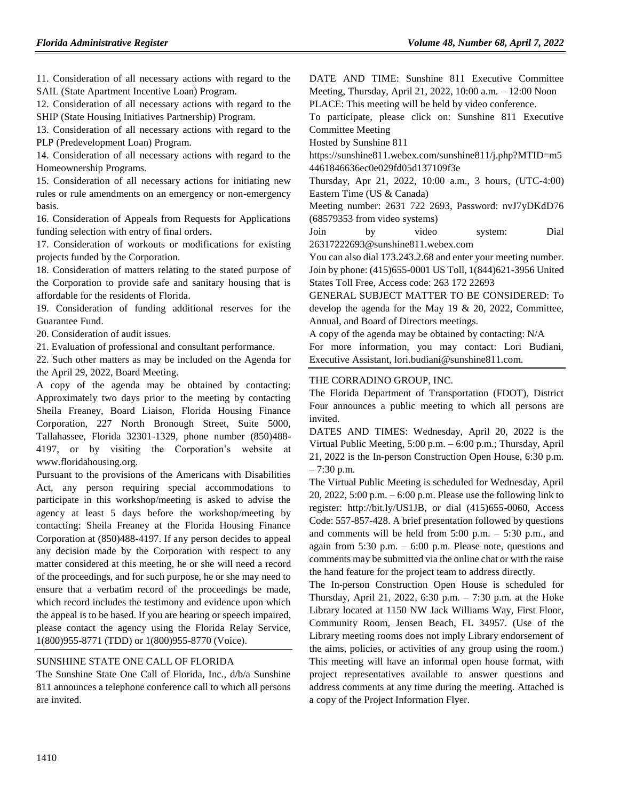11. Consideration of all necessary actions with regard to the SAIL (State Apartment Incentive Loan) Program.

12. Consideration of all necessary actions with regard to the SHIP (State Housing Initiatives Partnership) Program.

13. Consideration of all necessary actions with regard to the PLP (Predevelopment Loan) Program.

14. Consideration of all necessary actions with regard to the Homeownership Programs.

15. Consideration of all necessary actions for initiating new rules or rule amendments on an emergency or non-emergency basis.

16. Consideration of Appeals from Requests for Applications funding selection with entry of final orders.

17. Consideration of workouts or modifications for existing projects funded by the Corporation.

18. Consideration of matters relating to the stated purpose of the Corporation to provide safe and sanitary housing that is affordable for the residents of Florida.

19. Consideration of funding additional reserves for the Guarantee Fund.

20. Consideration of audit issues.

21. Evaluation of professional and consultant performance.

22. Such other matters as may be included on the Agenda for the April 29, 2022, Board Meeting.

A copy of the agenda may be obtained by contacting: Approximately two days prior to the meeting by contacting Sheila Freaney, Board Liaison, Florida Housing Finance Corporation, 227 North Bronough Street, Suite 5000, Tallahassee, Florida 32301-1329, phone number (850)488- 4197, or by visiting the Corporation's website at www.floridahousing.org.

Pursuant to the provisions of the Americans with Disabilities Act, any person requiring special accommodations to participate in this workshop/meeting is asked to advise the agency at least 5 days before the workshop/meeting by contacting: Sheila Freaney at the Florida Housing Finance Corporation at (850)488-4197. If any person decides to appeal any decision made by the Corporation with respect to any matter considered at this meeting, he or she will need a record of the proceedings, and for such purpose, he or she may need to ensure that a verbatim record of the proceedings be made, which record includes the testimony and evidence upon which the appeal is to be based. If you are hearing or speech impaired, please contact the agency using the Florida Relay Service, 1(800)955-8771 (TDD) or 1(800)955-8770 (Voice).

## [SUNSHINE STATE ONE CALL OF FLORIDA](https://www.flrules.org/gateway/organization.asp?id=700)

The Sunshine State One Call of Florida, Inc., d/b/a Sunshine 811 announces a telephone conference call to which all persons are invited.

DATE AND TIME: Sunshine 811 Executive Committee Meeting, Thursday, April 21, 2022, 10:00 a.m. – 12:00 Noon

PLACE: This meeting will be held by video conference.

To participate, please click on: Sunshine 811 Executive Committee Meeting

Hosted by Sunshine 811

https://sunshine811.webex.com/sunshine811/j.php?MTID=m5 4461846636ec0e029fd05d137109f3e

Thursday, Apr 21, 2022, 10:00 a.m., 3 hours, (UTC-4:00) Eastern Time (US & Canada)

Meeting number: 2631 722 2693, Password: nvJ7yDKdD76 (68579353 from video systems)

Join by video system: Dial 26317222693@sunshine811.webex.com

You can also dial 173.243.2.68 and enter your meeting number. Join by phone: (415)655-0001 US Toll, 1(844)621-3956 United States Toll Free, Access code: 263 172 22693

GENERAL SUBJECT MATTER TO BE CONSIDERED: To develop the agenda for the May 19 & 20, 2022, Committee, Annual, and Board of Directors meetings.

A copy of the agenda may be obtained by contacting: N/A

For more information, you may contact: Lori Budiani, Executive Assistant, lori.budiani@sunshine811.com.

#### [THE CORRADINO GROUP, INC.](https://www.flrules.org/gateway/organization.asp?id=1048)

The Florida Department of Transportation (FDOT), District Four announces a public meeting to which all persons are invited.

DATES AND TIMES: Wednesday, April 20, 2022 is the Virtual Public Meeting, 5:00 p.m. – 6:00 p.m.; Thursday, April 21, 2022 is the In-person Construction Open House, 6:30 p.m. – 7:30 p.m.

The Virtual Public Meeting is scheduled for Wednesday, April 20, 2022, 5:00 p.m. – 6:00 p.m. Please use the following link to register: http://bit.ly/US1JB, or dial (415)655-0060, Access Code: 557-857-428. A brief presentation followed by questions and comments will be held from  $5:00$  p.m.  $-5:30$  p.m., and again from  $5:30$  p.m.  $-6:00$  p.m. Please note, questions and comments may be submitted via the online chat or with the raise the hand feature for the project team to address directly.

The In-person Construction Open House is scheduled for Thursday, April 21, 2022, 6:30 p.m. – 7:30 p.m. at the Hoke Library located at 1150 NW Jack Williams Way, First Floor, Community Room, Jensen Beach, FL 34957. (Use of the Library meeting rooms does not imply Library endorsement of the aims, policies, or activities of any group using the room.) This meeting will have an informal open house format, with project representatives available to answer questions and address comments at any time during the meeting. Attached is a copy of the Project Information Flyer.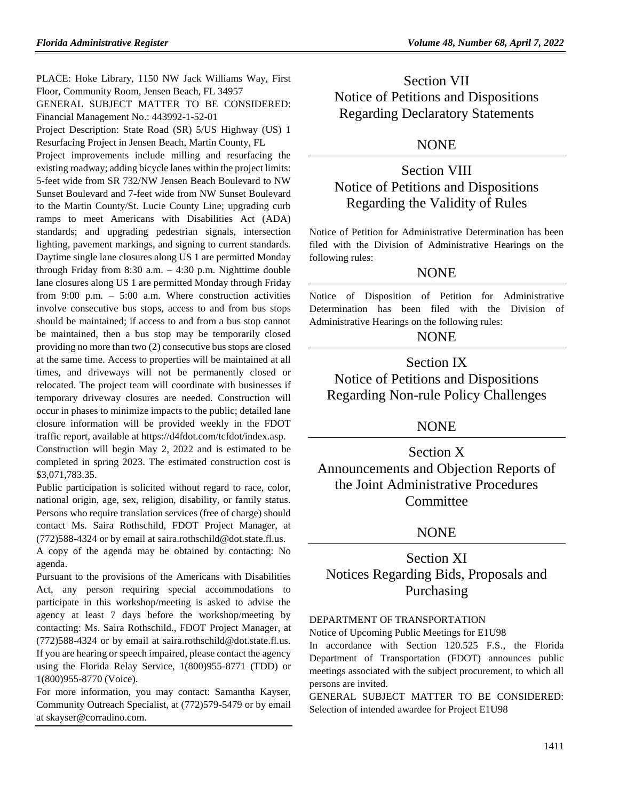PLACE: Hoke Library, 1150 NW Jack Williams Way, First Floor, Community Room, Jensen Beach, FL 34957 GENERAL SUBJECT MATTER TO BE CONSIDERED:

Financial Management No.: 443992-1-52-01

Project Description: State Road (SR) 5/US Highway (US) 1 Resurfacing Project in Jensen Beach, Martin County, FL

Project improvements include milling and resurfacing the existing roadway; adding bicycle lanes within the project limits: 5-feet wide from SR 732/NW Jensen Beach Boulevard to NW Sunset Boulevard and 7-feet wide from NW Sunset Boulevard to the Martin County/St. Lucie County Line; upgrading curb ramps to meet Americans with Disabilities Act (ADA) standards; and upgrading pedestrian signals, intersection lighting, pavement markings, and signing to current standards. Daytime single lane closures along US 1 are permitted Monday through Friday from 8:30 a.m. – 4:30 p.m. Nighttime double lane closures along US 1 are permitted Monday through Friday from 9:00 p.m. – 5:00 a.m. Where construction activities involve consecutive bus stops, access to and from bus stops should be maintained; if access to and from a bus stop cannot be maintained, then a bus stop may be temporarily closed providing no more than two (2) consecutive bus stops are closed at the same time. Access to properties will be maintained at all times, and driveways will not be permanently closed or relocated. The project team will coordinate with businesses if temporary driveway closures are needed. Construction will occur in phases to minimize impacts to the public; detailed lane closure information will be provided weekly in the FDOT traffic report, available at https://d4fdot.com/tcfdot/index.asp.

Construction will begin May 2, 2022 and is estimated to be completed in spring 2023. The estimated construction cost is \$3,071,783.35.

Public participation is solicited without regard to race, color, national origin, age, sex, religion, disability, or family status. Persons who require translation services (free of charge) should contact Ms. Saira Rothschild, FDOT Project Manager, at (772)588-4324 or by email at saira.rothschild@dot.state.fl.us.

A copy of the agenda may be obtained by contacting: No agenda.

Pursuant to the provisions of the Americans with Disabilities Act, any person requiring special accommodations to participate in this workshop/meeting is asked to advise the agency at least 7 days before the workshop/meeting by contacting: Ms. Saira Rothschild., FDOT Project Manager, at (772)588-4324 or by email at saira.rothschild@dot.state.fl.us. If you are hearing or speech impaired, please contact the agency using the Florida Relay Service, 1(800)955-8771 (TDD) or 1(800)955-8770 (Voice).

For more information, you may contact: Samantha Kayser, Community Outreach Specialist, at (772)579-5479 or by email at skayser@corradino.com.

Section VII Notice of Petitions and Dispositions Regarding Declaratory Statements

# NONE

# Section VIII Notice of Petitions and Dispositions Regarding the Validity of Rules

Notice of Petition for Administrative Determination has been filed with the Division of Administrative Hearings on the following rules:

# NONE

Notice of Disposition of Petition for Administrative Determination has been filed with the Division of Administrative Hearings on the following rules:

# **NONE**

Section IX Notice of Petitions and Dispositions Regarding Non-rule Policy Challenges

# **NONE**

Section X Announcements and Objection Reports of the Joint Administrative Procedures **Committee** 

# NONE

# Section XI Notices Regarding Bids, Proposals and Purchasing

#### [DEPARTMENT OF TRANSPORTATION](https://www.flrules.org/gateway/department.asp?id=14)

Notice of Upcoming Public Meetings for E1U98

In accordance with Section 120.525 F.S., the Florida Department of Transportation (FDOT) announces public meetings associated with the subject procurement, to which all persons are invited.

GENERAL SUBJECT MATTER TO BE CONSIDERED: Selection of intended awardee for Project E1U98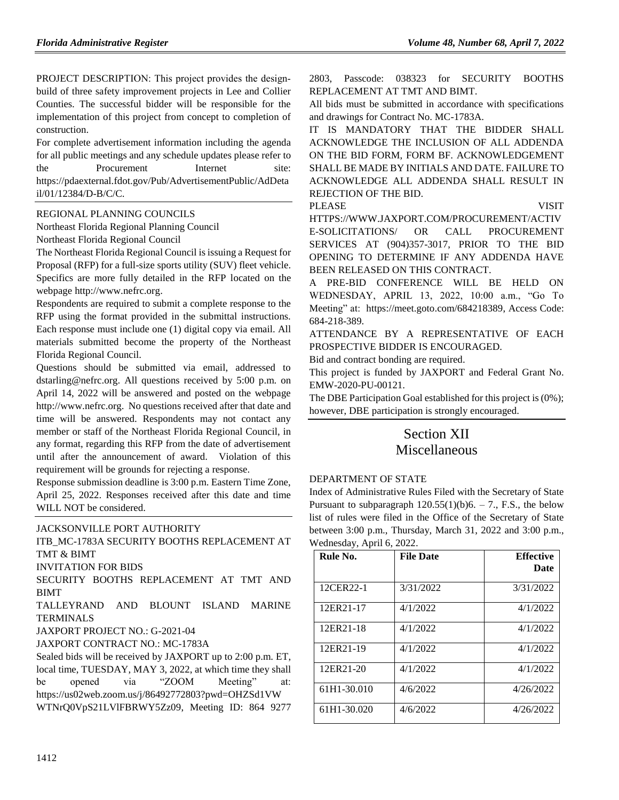PROJECT DESCRIPTION: This project provides the designbuild of three safety improvement projects in Lee and Collier Counties. The successful bidder will be responsible for the implementation of this project from concept to completion of construction.

For complete advertisement information including the agenda for all public meetings and any schedule updates please refer to the Procurement Internet site: [https://pdaexternal.fdot.gov/Pub/AdvertisementPublic/AdDeta](https://pdaexternal.fdot.gov/Pub/AdvertisementPublic/AdDetail/01/12384/D-B/C/C) [il/01/12384/D-B/C/C.](https://pdaexternal.fdot.gov/Pub/AdvertisementPublic/AdDetail/01/12384/D-B/C/C)

### [REGIONAL PLANNING COUNCILS](https://www.flrules.org/gateway/department.asp?id=29)

[Northeast Florida Regional Planning Council](https://www.flrules.org/gateway/organization.asp?id=60)

Northeast Florida Regional Council

The Northeast Florida Regional Council is issuing a Request for Proposal (RFP) for a full-size sports utility (SUV) fleet vehicle. Specifics are more fully detailed in the RFP located on the webpage [http://www.nefrc.org.](http://www.nefrc.org/)

Respondents are required to submit a complete response to the RFP using the format provided in the submittal instructions. Each response must include one (1) digital copy via email. All materials submitted become the property of the Northeast Florida Regional Council.

Questions should be submitted via email, addressed to [dstarling@nefrc.org.](mailto:DStarling@nefrc.org) All questions received by 5:00 p.m. on April 14, 2022 will be answered and posted on the webpage [http://www.nefrc.org.](http://www.nefrc.org/) No questions received after that date and time will be answered. Respondents may not contact any member or staff of the Northeast Florida Regional Council, in any format, regarding this RFP from the date of advertisement until after the announcement of award. Violation of this requirement will be grounds for rejecting a response.

Response submission deadline is 3:00 p.m. Eastern Time Zone, April 25, 2022. Responses received after this date and time WILL NOT be considered.

### [JACKSONVILLE PORT AUTHORITY](https://www.flrules.org/gateway/organization.asp?id=1036)

ITB\_MC-1783A SECURITY BOOTHS REPLACEMENT AT TMT & BIMT

INVITATION FOR BIDS

SECURITY BOOTHS REPLACEMENT AT TMT AND BIMT

TALLEYRAND AND BLOUNT ISLAND MARINE **TERMINALS** 

JAXPORT PROJECT NO.: G-2021-04

JAXPORT CONTRACT NO.: MC-1783A

Sealed bids will be received by JAXPORT up to 2:00 p.m. ET, local time, TUESDAY, MAY 3, 2022, at which time they shall be opened via "ZOOM Meeting" at: [https://us02web.zoom.us/j/86492772803?pwd=OHZSd1VW](https://us02web.zoom.us/j/86492772803?pwd=OHZSd1VWWTNrQ0VpS21LVlFBRWY5Zz09) [WTNrQ0VpS21LVlFBRWY5Zz09,](https://us02web.zoom.us/j/86492772803?pwd=OHZSd1VWWTNrQ0VpS21LVlFBRWY5Zz09) Meeting ID: 864 9277 2803, Passcode: 038323 for SECURITY BOOTHS REPLACEMENT AT TMT AND BIMT.

All bids must be submitted in accordance with specifications and drawings for Contract No. MC-1783A.

IT IS MANDATORY THAT THE BIDDER SHALL ACKNOWLEDGE THE INCLUSION OF ALL ADDENDA ON THE BID FORM, FORM BF. ACKNOWLEDGEMENT SHALL BE MADE BY INITIALS AND DATE. FAILURE TO ACKNOWLEDGE ALL ADDENDA SHALL RESULT IN REJECTION OF THE BID.

PLEASE VISIT [HTTPS://WWW.JAXPORT.COM/PROCUREMENT/ACTIV](http://www.jaxport.com/work-with-us/projects-for-bid) [E-SOLICITATIONS/ O](http://www.jaxport.com/work-with-us/projects-for-bid)R CALL PROCUREMENT SERVICES AT (904)357-3017, PRIOR TO THE BID OPENING TO DETERMINE IF ANY ADDENDA HAVE BEEN RELEASED ON THIS CONTRACT.

A PRE-BID CONFERENCE WILL BE HELD ON WEDNESDAY, APRIL 13, 2022, 10:00 a.m., "Go To Meeting" at: [https://meet.goto.com/684218389,](https://meet.goto.com/684218389) Access Code: 684-218-389.

ATTENDANCE BY A REPRESENTATIVE OF EACH PROSPECTIVE BIDDER IS ENCOURAGED.

Bid and contract bonding are required.

This project is funded by JAXPORT and Federal Grant No. EMW-2020-PU-00121.

The DBE Participation Goal established for this project is (0%); however, DBE participation is strongly encouraged.

# Section XII Miscellaneous

#### [DEPARTMENT OF STATE](https://www.flrules.org/gateway/department.asp?id=1)

Index of Administrative Rules Filed with the Secretary of State Pursuant to subparagraph  $120.55(1)(b)6. - 7$ ., F.S., the below list of rules were filed in the Office of the Secretary of State between 3:00 p.m., Thursday, March 31, 2022 and 3:00 p.m., Wednesday, April 6, 2022.

| Rule No.    | <b>File Date</b> | <b>Effective</b><br><b>Date</b> |
|-------------|------------------|---------------------------------|
| 12CER22-1   | 3/31/2022        | 3/31/2022                       |
| 12ER21-17   | 4/1/2022         | 4/1/2022                        |
| 12ER21-18   | 4/1/2022         | 4/1/2022                        |
| 12ER21-19   | 4/1/2022         | 4/1/2022                        |
| 12ER21-20   | 4/1/2022         | 4/1/2022                        |
| 61H1-30.010 | 4/6/2022         | 4/26/2022                       |
| 61H1-30.020 | 4/6/2022         | 4/26/2022                       |